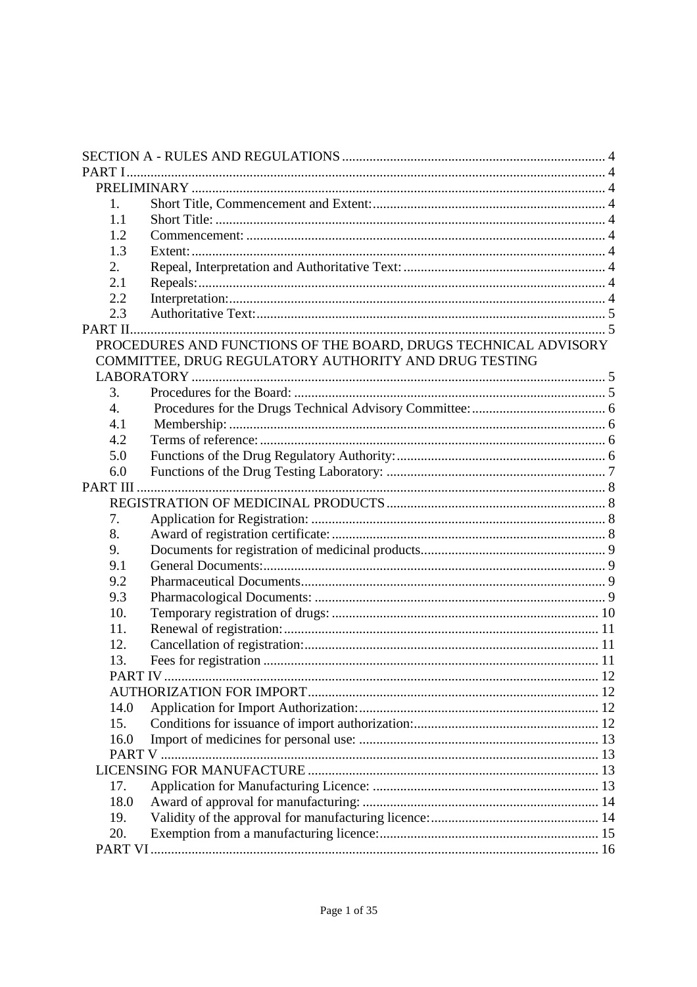| 1.               |                                                                 |  |
|------------------|-----------------------------------------------------------------|--|
| 1.1              |                                                                 |  |
| 1.2              |                                                                 |  |
| 1.3              |                                                                 |  |
| 2.               |                                                                 |  |
| 2.1              |                                                                 |  |
| 2.2              |                                                                 |  |
| 2.3              |                                                                 |  |
|                  |                                                                 |  |
|                  | PROCEDURES AND FUNCTIONS OF THE BOARD, DRUGS TECHNICAL ADVISORY |  |
|                  | COMMITTEE, DRUG REGULATORY AUTHORITY AND DRUG TESTING           |  |
|                  |                                                                 |  |
| 3.               |                                                                 |  |
| $\overline{4}$ . |                                                                 |  |
| 4.1              |                                                                 |  |
| 4.2              |                                                                 |  |
| 5.0              |                                                                 |  |
| 6.0              |                                                                 |  |
| PART III.        |                                                                 |  |
|                  |                                                                 |  |
| 7.               |                                                                 |  |
| 8.               |                                                                 |  |
| 9.               |                                                                 |  |
| 9.1              |                                                                 |  |
| 9.2              |                                                                 |  |
| 9.3              |                                                                 |  |
| 10.              |                                                                 |  |
| 11.              |                                                                 |  |
| 12.              |                                                                 |  |
| 13.              |                                                                 |  |
|                  |                                                                 |  |
|                  |                                                                 |  |
| 14.0             |                                                                 |  |
| 15.              |                                                                 |  |
| 16.0             |                                                                 |  |
|                  |                                                                 |  |
|                  |                                                                 |  |
| 17.              |                                                                 |  |
| 18.0             |                                                                 |  |
| 19.              |                                                                 |  |
| 20.              |                                                                 |  |
|                  |                                                                 |  |
|                  |                                                                 |  |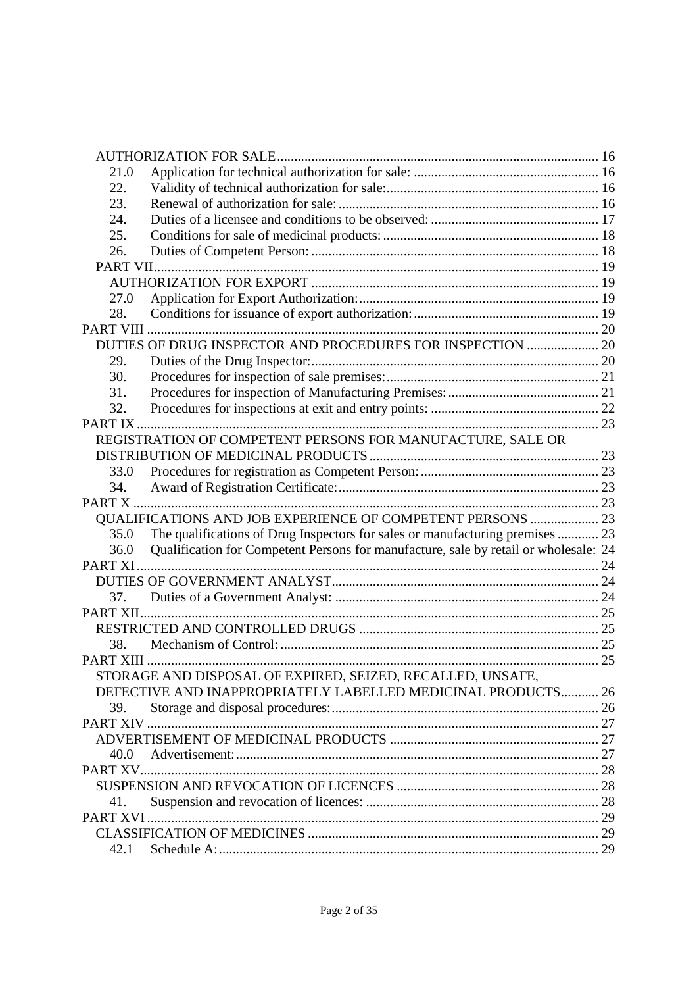| 21.0             |                                                                                      |  |
|------------------|--------------------------------------------------------------------------------------|--|
| 22.              |                                                                                      |  |
| 23.              |                                                                                      |  |
| 24.              |                                                                                      |  |
| 25.              |                                                                                      |  |
| 26.              |                                                                                      |  |
| PART VII.        |                                                                                      |  |
|                  |                                                                                      |  |
| 27.0             |                                                                                      |  |
| 28.              |                                                                                      |  |
| <b>PART VIII</b> |                                                                                      |  |
|                  | DUTIES OF DRUG INSPECTOR AND PROCEDURES FOR INSPECTION  20                           |  |
| 29.              |                                                                                      |  |
| 30.              |                                                                                      |  |
| 31.              |                                                                                      |  |
| 32.              |                                                                                      |  |
| PARTIX.          |                                                                                      |  |
|                  | REGISTRATION OF COMPETENT PERSONS FOR MANUFACTURE, SALE OR                           |  |
|                  |                                                                                      |  |
| 33.0             |                                                                                      |  |
| 34.              |                                                                                      |  |
| <b>PART X </b>   |                                                                                      |  |
|                  | <b>OUALIFICATIONS AND JOB EXPERIENCE OF COMPETENT PERSONS  23</b>                    |  |
| 35.0             | The qualifications of Drug Inspectors for sales or manufacturing premises  23        |  |
| 36.0             | Qualification for Competent Persons for manufacture, sale by retail or wholesale: 24 |  |
|                  |                                                                                      |  |
|                  |                                                                                      |  |
| 37.              |                                                                                      |  |
| PART XII         |                                                                                      |  |
|                  |                                                                                      |  |
| 38.              |                                                                                      |  |
|                  |                                                                                      |  |
|                  | STORAGE AND DISPOSAL OF EXPIRED, SEIZED, RECALLED, UNSAFE,                           |  |
|                  | DEFECTIVE AND INAPPROPRIATELY LABELLED MEDICINAL PRODUCTS 26                         |  |
| 39.              |                                                                                      |  |
|                  |                                                                                      |  |
|                  |                                                                                      |  |
| 40.0             |                                                                                      |  |
|                  |                                                                                      |  |
|                  |                                                                                      |  |
| 41.              |                                                                                      |  |
|                  |                                                                                      |  |
|                  |                                                                                      |  |
| 42.1             |                                                                                      |  |
|                  |                                                                                      |  |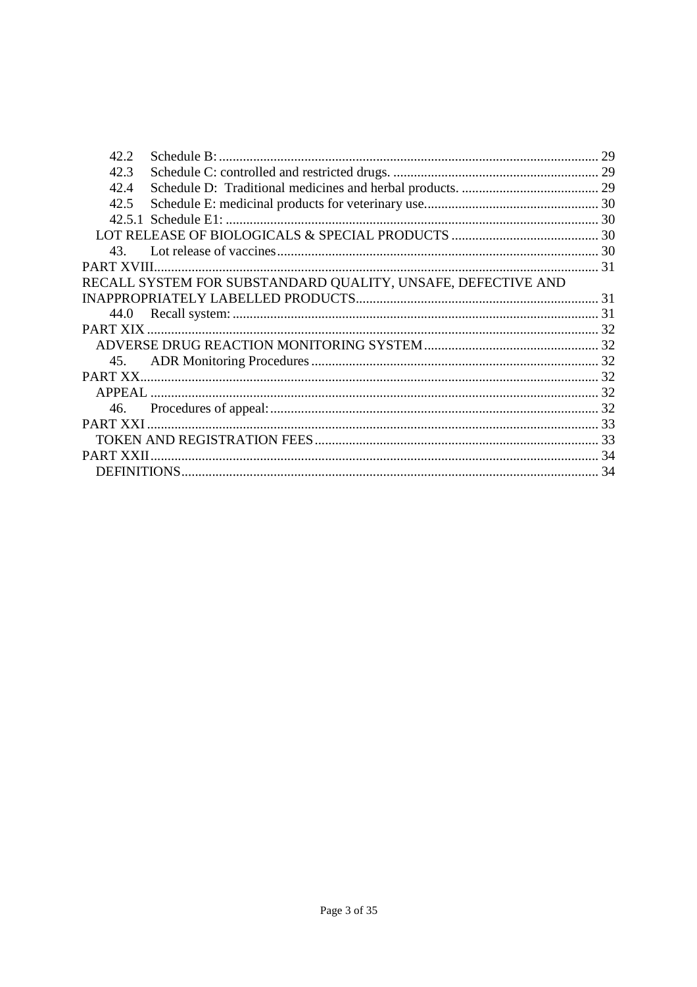| 42.2          |                                                              | 29 |
|---------------|--------------------------------------------------------------|----|
| 42.3          |                                                              |    |
| 42.4          |                                                              |    |
| 42.5          |                                                              |    |
|               |                                                              |    |
|               |                                                              |    |
| 43.           |                                                              |    |
|               |                                                              |    |
|               | RECALL SYSTEM FOR SUBSTANDARD QUALITY, UNSAFE, DEFECTIVE AND |    |
|               |                                                              |    |
| 44.0          |                                                              |    |
|               |                                                              |    |
|               |                                                              |    |
| 45.           |                                                              |    |
|               |                                                              |    |
| <b>APPEAL</b> |                                                              |    |
| 46.           |                                                              |    |
|               |                                                              |    |
|               |                                                              |    |
| PART XXII     |                                                              | 34 |
|               |                                                              |    |
|               |                                                              |    |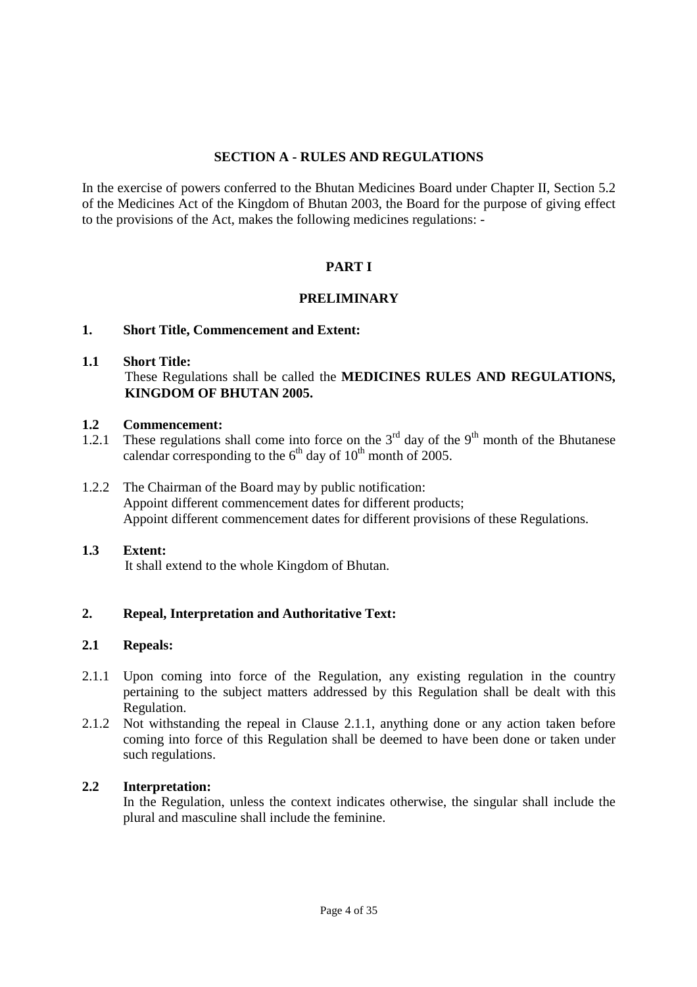# **SECTION A - RULES AND REGULATIONS**

In the exercise of powers conferred to the Bhutan Medicines Board under Chapter II, Section 5.2 of the Medicines Act of the Kingdom of Bhutan 2003, the Board for the purpose of giving effect to the provisions of the Act, makes the following medicines regulations: -

# **PART I**

# **PRELIMINARY**

# **1. Short Title, Commencement and Extent:**

# **1.1 Short Title:**  These Regulations shall be called the **MEDICINES RULES AND REGULATIONS, KINGDOM OF BHUTAN 2005.**

# **1.2 Commencement:**

- 1.2.1 These regulations shall come into force on the  $3<sup>rd</sup>$  day of the 9<sup>th</sup> month of the Bhutanese calendar corresponding to the  $6<sup>th</sup>$  day of  $10<sup>th</sup>$  month of 2005.
- 1.2.2 The Chairman of the Board may by public notification: Appoint different commencement dates for different products; Appoint different commencement dates for different provisions of these Regulations.
- **1.3 Extent:**  It shall extend to the whole Kingdom of Bhutan.

# **2. Repeal, Interpretation and Authoritative Text:**

## **2.1 Repeals:**

- 2.1.1 Upon coming into force of the Regulation, any existing regulation in the country pertaining to the subject matters addressed by this Regulation shall be dealt with this Regulation.
- 2.1.2 Not withstanding the repeal in Clause 2.1.1, anything done or any action taken before coming into force of this Regulation shall be deemed to have been done or taken under such regulations.

## **2.2 Interpretation:**

In the Regulation, unless the context indicates otherwise, the singular shall include the plural and masculine shall include the feminine.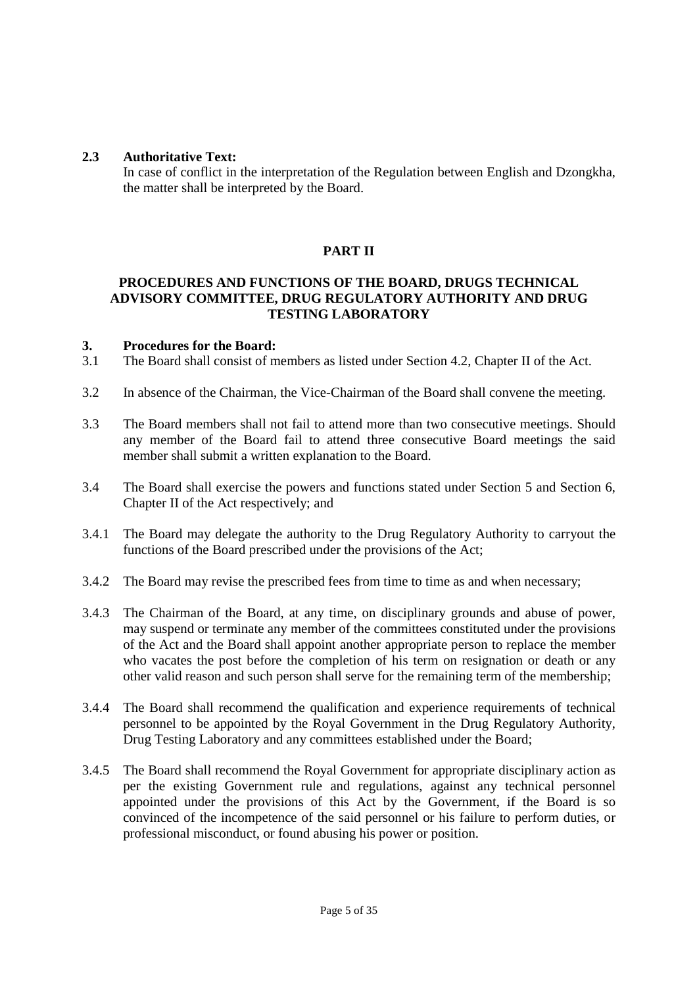# **2.3 Authoritative Text:**

In case of conflict in the interpretation of the Regulation between English and Dzongkha, the matter shall be interpreted by the Board.

# **PART II**

# **PROCEDURES AND FUNCTIONS OF THE BOARD, DRUGS TECHNICAL ADVISORY COMMITTEE, DRUG REGULATORY AUTHORITY AND DRUG TESTING LABORATORY**

## **3. Procedures for the Board:**

- 3.1 The Board shall consist of members as listed under Section 4.2, Chapter II of the Act.
- 3.2 In absence of the Chairman, the Vice-Chairman of the Board shall convene the meeting.
- 3.3 The Board members shall not fail to attend more than two consecutive meetings. Should any member of the Board fail to attend three consecutive Board meetings the said member shall submit a written explanation to the Board.
- 3.4 The Board shall exercise the powers and functions stated under Section 5 and Section 6, Chapter II of the Act respectively; and
- 3.4.1 The Board may delegate the authority to the Drug Regulatory Authority to carryout the functions of the Board prescribed under the provisions of the Act;
- 3.4.2 The Board may revise the prescribed fees from time to time as and when necessary;
- 3.4.3 The Chairman of the Board, at any time, on disciplinary grounds and abuse of power, may suspend or terminate any member of the committees constituted under the provisions of the Act and the Board shall appoint another appropriate person to replace the member who vacates the post before the completion of his term on resignation or death or any other valid reason and such person shall serve for the remaining term of the membership;
- 3.4.4 The Board shall recommend the qualification and experience requirements of technical personnel to be appointed by the Royal Government in the Drug Regulatory Authority, Drug Testing Laboratory and any committees established under the Board;
- 3.4.5 The Board shall recommend the Royal Government for appropriate disciplinary action as per the existing Government rule and regulations, against any technical personnel appointed under the provisions of this Act by the Government, if the Board is so convinced of the incompetence of the said personnel or his failure to perform duties, or professional misconduct, or found abusing his power or position.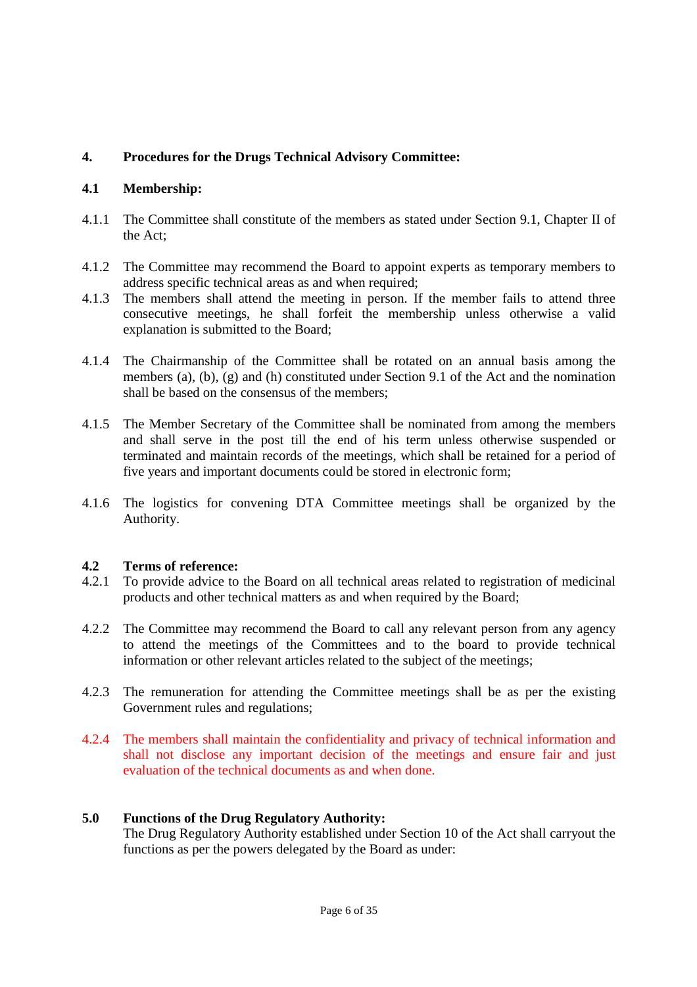# **4. Procedures for the Drugs Technical Advisory Committee:**

# **4.1 Membership:**

- 4.1.1 The Committee shall constitute of the members as stated under Section 9.1, Chapter II of the Act;
- 4.1.2 The Committee may recommend the Board to appoint experts as temporary members to address specific technical areas as and when required;
- 4.1.3 The members shall attend the meeting in person. If the member fails to attend three consecutive meetings, he shall forfeit the membership unless otherwise a valid explanation is submitted to the Board;
- 4.1.4 The Chairmanship of the Committee shall be rotated on an annual basis among the members (a), (b), (g) and (h) constituted under Section 9.1 of the Act and the nomination shall be based on the consensus of the members;
- 4.1.5 The Member Secretary of the Committee shall be nominated from among the members and shall serve in the post till the end of his term unless otherwise suspended or terminated and maintain records of the meetings, which shall be retained for a period of five years and important documents could be stored in electronic form;
- 4.1.6 The logistics for convening DTA Committee meetings shall be organized by the Authority.

## **4.2 Terms of reference:**

- 4.2.1 To provide advice to the Board on all technical areas related to registration of medicinal products and other technical matters as and when required by the Board;
- 4.2.2 The Committee may recommend the Board to call any relevant person from any agency to attend the meetings of the Committees and to the board to provide technical information or other relevant articles related to the subject of the meetings;
- 4.2.3 The remuneration for attending the Committee meetings shall be as per the existing Government rules and regulations;
- 4.2.4 The members shall maintain the confidentiality and privacy of technical information and shall not disclose any important decision of the meetings and ensure fair and just evaluation of the technical documents as and when done.

# **5.0 Functions of the Drug Regulatory Authority:**

The Drug Regulatory Authority established under Section 10 of the Act shall carryout the functions as per the powers delegated by the Board as under: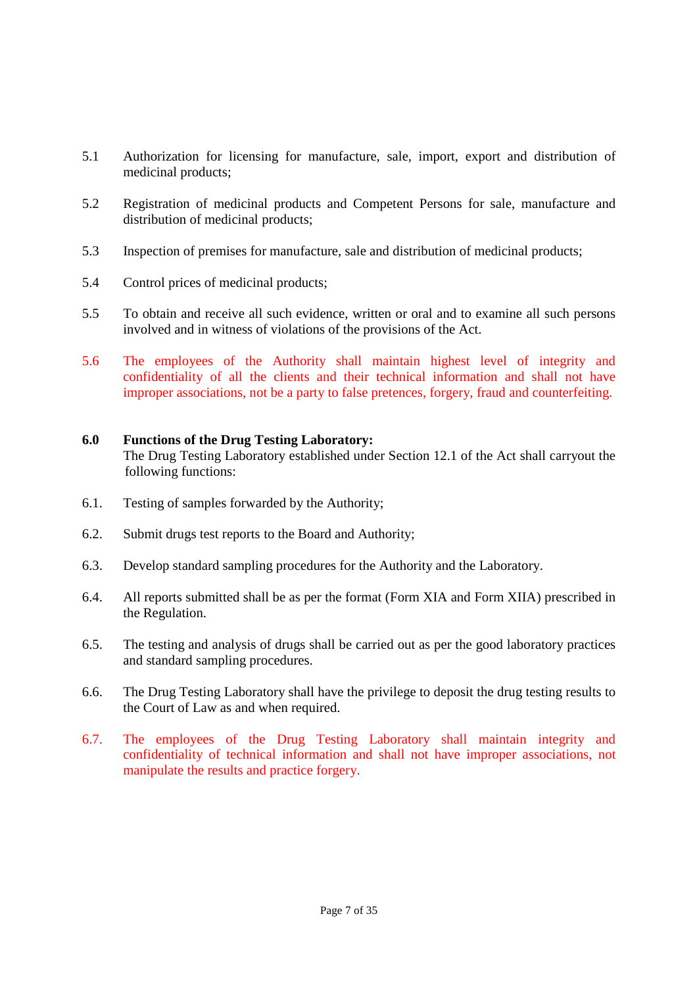- 5.1 Authorization for licensing for manufacture, sale, import, export and distribution of medicinal products;
- 5.2 Registration of medicinal products and Competent Persons for sale, manufacture and distribution of medicinal products;
- 5.3 Inspection of premises for manufacture, sale and distribution of medicinal products;
- 5.4 Control prices of medicinal products;
- 5.5 To obtain and receive all such evidence, written or oral and to examine all such persons involved and in witness of violations of the provisions of the Act.
- 5.6 The employees of the Authority shall maintain highest level of integrity and confidentiality of all the clients and their technical information and shall not have improper associations, not be a party to false pretences, forgery, fraud and counterfeiting.

# **6.0 Functions of the Drug Testing Laboratory:**

The Drug Testing Laboratory established under Section 12.1 of the Act shall carryout the following functions:

- 6.1. Testing of samples forwarded by the Authority;
- 6.2. Submit drugs test reports to the Board and Authority;
- 6.3. Develop standard sampling procedures for the Authority and the Laboratory.
- 6.4. All reports submitted shall be as per the format (Form XIA and Form XIIA) prescribed in the Regulation.
- 6.5. The testing and analysis of drugs shall be carried out as per the good laboratory practices and standard sampling procedures.
- 6.6. The Drug Testing Laboratory shall have the privilege to deposit the drug testing results to the Court of Law as and when required.
- 6.7. The employees of the Drug Testing Laboratory shall maintain integrity and confidentiality of technical information and shall not have improper associations, not manipulate the results and practice forgery.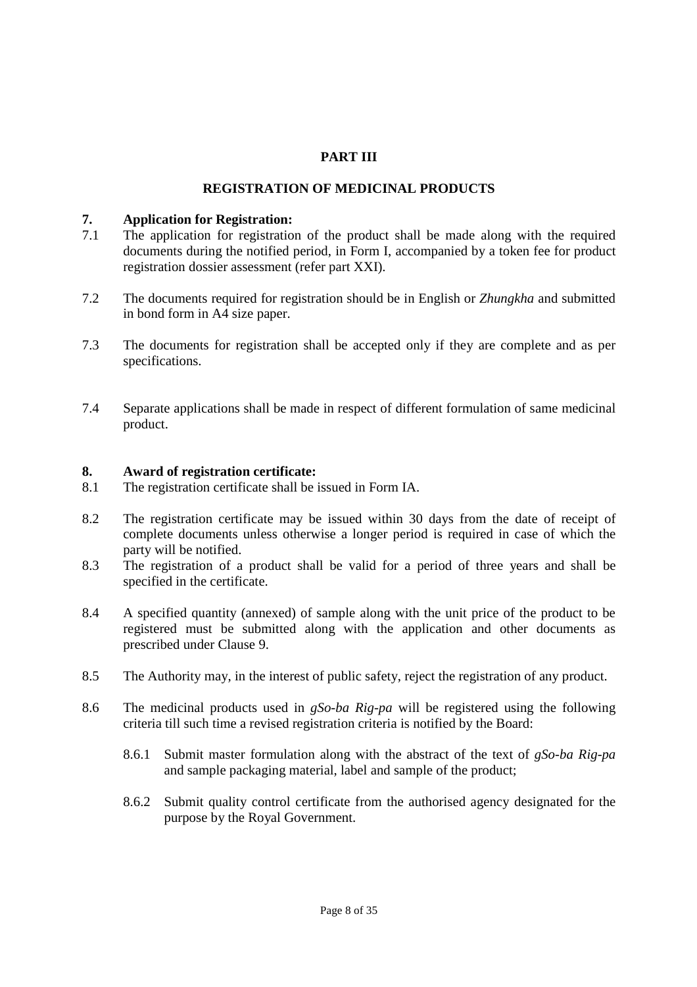# **PART III**

# **REGISTRATION OF MEDICINAL PRODUCTS**

### **7. Application for Registration:**

- 7.1 The application for registration of the product shall be made along with the required documents during the notified period, in Form I, accompanied by a token fee for product registration dossier assessment (refer part XXI).
- 7.2 The documents required for registration should be in English or *Zhungkha* and submitted in bond form in A4 size paper.
- 7.3 The documents for registration shall be accepted only if they are complete and as per specifications.
- 7.4 Separate applications shall be made in respect of different formulation of same medicinal product.

#### **8. Award of registration certificate:**

- 8.1 The registration certificate shall be issued in Form IA.
- 8.2 The registration certificate may be issued within 30 days from the date of receipt of complete documents unless otherwise a longer period is required in case of which the party will be notified.
- 8.3 The registration of a product shall be valid for a period of three years and shall be specified in the certificate.
- 8.4 A specified quantity (annexed) of sample along with the unit price of the product to be registered must be submitted along with the application and other documents as prescribed under Clause 9.
- 8.5 The Authority may, in the interest of public safety, reject the registration of any product.
- 8.6 The medicinal products used in *gSo-ba Rig-pa* will be registered using the following criteria till such time a revised registration criteria is notified by the Board:
	- 8.6.1 Submit master formulation along with the abstract of the text of *gSo-ba Rig-pa* and sample packaging material, label and sample of the product;
	- 8.6.2 Submit quality control certificate from the authorised agency designated for the purpose by the Royal Government.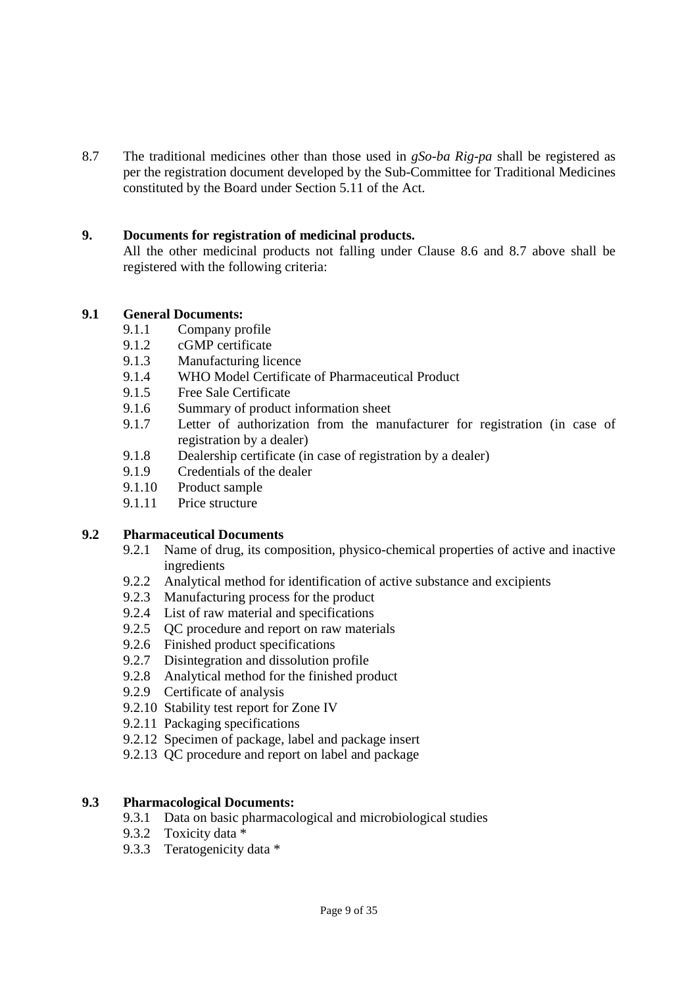8.7 The traditional medicines other than those used in *gSo-ba Rig-pa* shall be registered as per the registration document developed by the Sub-Committee for Traditional Medicines constituted by the Board under Section 5.11 of the Act.

# **9. Documents for registration of medicinal products.**

All the other medicinal products not falling under Clause 8.6 and 8.7 above shall be registered with the following criteria:

## **9.1 General Documents:**

- 9.1.1 Company profile
- 9.1.2 cGMP certificate
- 9.1.3 Manufacturing licence
- 9.1.4 WHO Model Certificate of Pharmaceutical Product
- 9.1.5 Free Sale Certificate
- 9.1.6 Summary of product information sheet
- 9.1.7 Letter of authorization from the manufacturer for registration (in case of registration by a dealer)
- 9.1.8 Dealership certificate (in case of registration by a dealer)
- 9.1.9 Credentials of the dealer
- 9.1.10 Product sample
- 9.1.11 Price structure

## **9.2 Pharmaceutical Documents**

- 9.2.1 Name of drug, its composition, physico-chemical properties of active and inactive ingredients
- 9.2.2 Analytical method for identification of active substance and excipients
- 9.2.3 Manufacturing process for the product
- 9.2.4 List of raw material and specifications
- 9.2.5 QC procedure and report on raw materials
- 9.2.6 Finished product specifications
- 9.2.7 Disintegration and dissolution profile
- 9.2.8 Analytical method for the finished product
- 9.2.9 Certificate of analysis
- 9.2.10 Stability test report for Zone IV
- 9.2.11 Packaging specifications
- 9.2.12 Specimen of package, label and package insert
- 9.2.13 QC procedure and report on label and package

# **9.3 Pharmacological Documents:**

- 9.3.1 Data on basic pharmacological and microbiological studies
- 9.3.2 Toxicity data \*
- 9.3.3 Teratogenicity data \*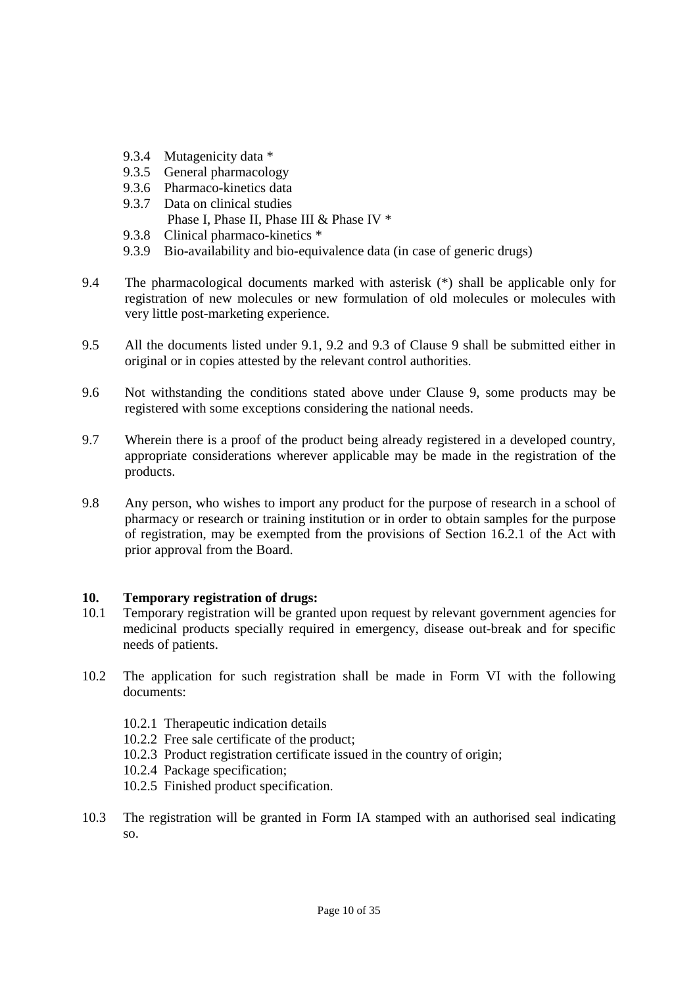- 9.3.4 Mutagenicity data \*
- 9.3.5 General pharmacology
- 9.3.6 Pharmaco-kinetics data
- 9.3.7 Data on clinical studies Phase I, Phase II, Phase III & Phase IV \*
- 9.3.8 Clinical pharmaco-kinetics \*
- 9.3.9 Bio-availability and bio-equivalence data (in case of generic drugs)
- 9.4 The pharmacological documents marked with asterisk (\*) shall be applicable only for registration of new molecules or new formulation of old molecules or molecules with very little post-marketing experience.
- 9.5 All the documents listed under 9.1, 9.2 and 9.3 of Clause 9 shall be submitted either in original or in copies attested by the relevant control authorities.
- 9.6 Not withstanding the conditions stated above under Clause 9, some products may be registered with some exceptions considering the national needs.
- 9.7 Wherein there is a proof of the product being already registered in a developed country, appropriate considerations wherever applicable may be made in the registration of the products.
- 9.8 Any person, who wishes to import any product for the purpose of research in a school of pharmacy or research or training institution or in order to obtain samples for the purpose of registration, may be exempted from the provisions of Section 16.2.1 of the Act with prior approval from the Board.

## **10. Temporary registration of drugs:**

- 10.1 Temporary registration will be granted upon request by relevant government agencies for medicinal products specially required in emergency, disease out-break and for specific needs of patients.
- 10.2 The application for such registration shall be made in Form VI with the following documents:
	- 10.2.1 Therapeutic indication details
	- 10.2.2 Free sale certificate of the product;
	- 10.2.3 Product registration certificate issued in the country of origin;
	- 10.2.4 Package specification;
	- 10.2.5 Finished product specification.
- 10.3 The registration will be granted in Form IA stamped with an authorised seal indicating so.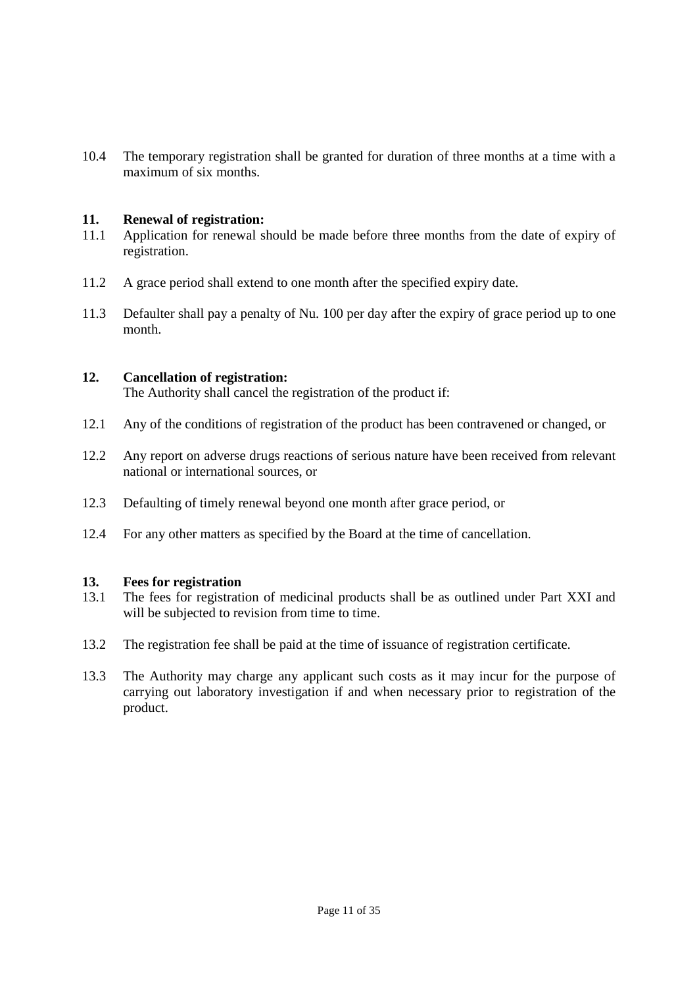10.4 The temporary registration shall be granted for duration of three months at a time with a maximum of six months.

# **11. Renewal of registration:**

- 11.1 Application for renewal should be made before three months from the date of expiry of registration.
- 11.2 A grace period shall extend to one month after the specified expiry date.
- 11.3 Defaulter shall pay a penalty of Nu. 100 per day after the expiry of grace period up to one month.

# **12. Cancellation of registration:**

The Authority shall cancel the registration of the product if:

- 12.1 Any of the conditions of registration of the product has been contravened or changed, or
- 12.2 Any report on adverse drugs reactions of serious nature have been received from relevant national or international sources, or
- 12.3 Defaulting of timely renewal beyond one month after grace period, or
- 12.4 For any other matters as specified by the Board at the time of cancellation.

## **13. Fees for registration**

- 13.1 The fees for registration of medicinal products shall be as outlined under Part XXI and will be subjected to revision from time to time.
- 13.2 The registration fee shall be paid at the time of issuance of registration certificate.
- 13.3 The Authority may charge any applicant such costs as it may incur for the purpose of carrying out laboratory investigation if and when necessary prior to registration of the product.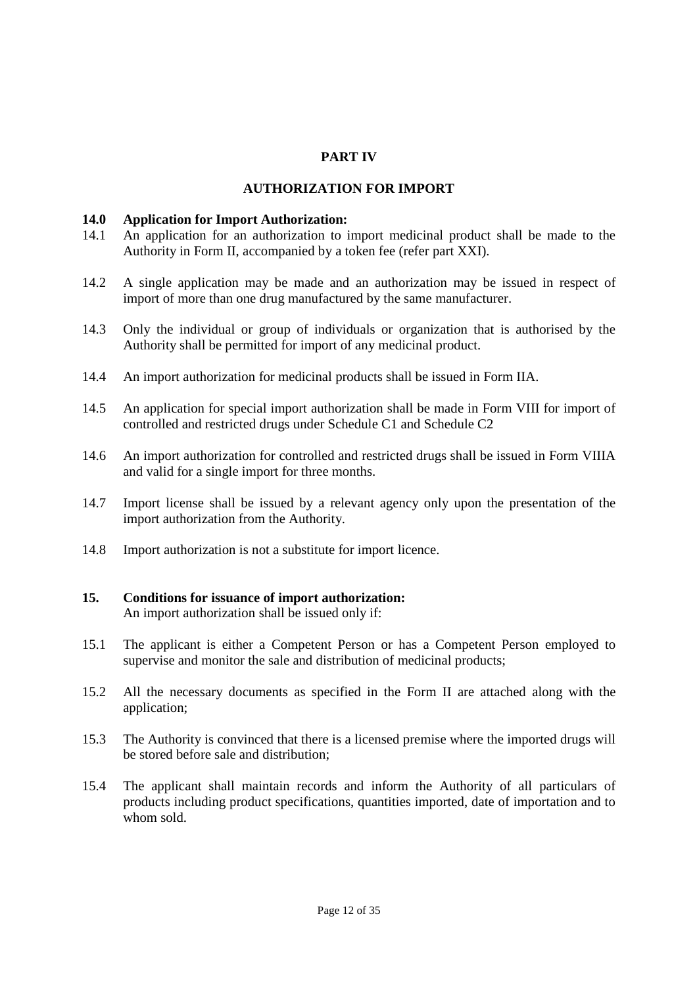# **PART IV**

## **AUTHORIZATION FOR IMPORT**

#### **14.0 Application for Import Authorization:**

- 14.1 An application for an authorization to import medicinal product shall be made to the Authority in Form II, accompanied by a token fee (refer part XXI).
- 14.2 A single application may be made and an authorization may be issued in respect of import of more than one drug manufactured by the same manufacturer.
- 14.3 Only the individual or group of individuals or organization that is authorised by the Authority shall be permitted for import of any medicinal product.
- 14.4 An import authorization for medicinal products shall be issued in Form IIA.
- 14.5 An application for special import authorization shall be made in Form VIII for import of controlled and restricted drugs under Schedule C1 and Schedule C2
- 14.6 An import authorization for controlled and restricted drugs shall be issued in Form VIIIA and valid for a single import for three months.
- 14.7 Import license shall be issued by a relevant agency only upon the presentation of the import authorization from the Authority.
- 14.8 Import authorization is not a substitute for import licence.

### **15. Conditions for issuance of import authorization:**  An import authorization shall be issued only if:

- 15.1 The applicant is either a Competent Person or has a Competent Person employed to supervise and monitor the sale and distribution of medicinal products;
- 15.2 All the necessary documents as specified in the Form II are attached along with the application;
- 15.3 The Authority is convinced that there is a licensed premise where the imported drugs will be stored before sale and distribution;
- 15.4 The applicant shall maintain records and inform the Authority of all particulars of products including product specifications, quantities imported, date of importation and to whom sold.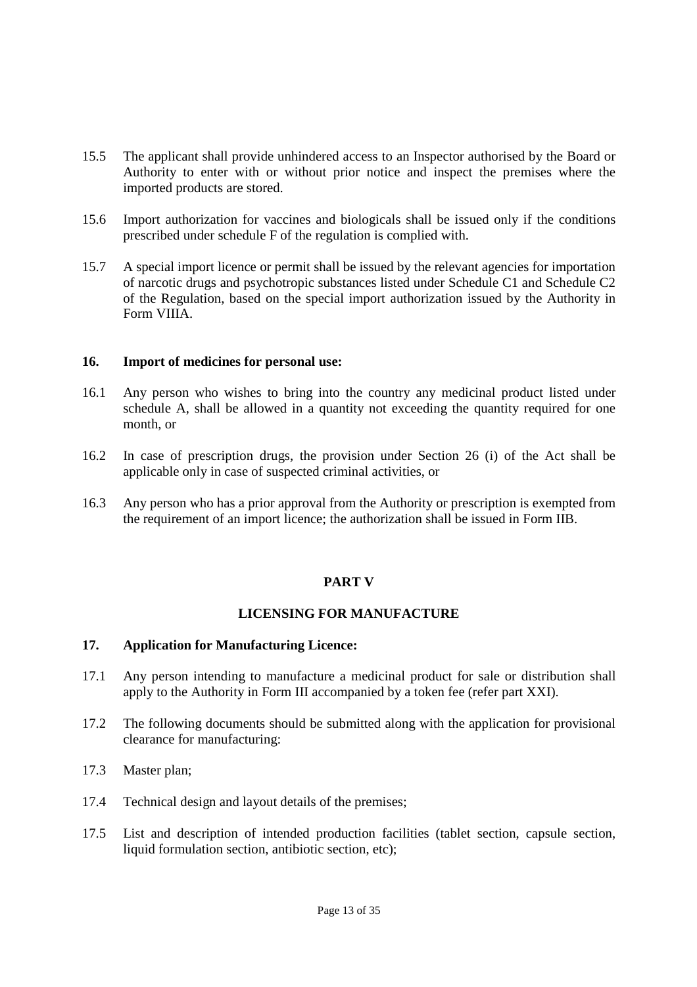- 15.5 The applicant shall provide unhindered access to an Inspector authorised by the Board or Authority to enter with or without prior notice and inspect the premises where the imported products are stored.
- 15.6 Import authorization for vaccines and biologicals shall be issued only if the conditions prescribed under schedule F of the regulation is complied with.
- 15.7 A special import licence or permit shall be issued by the relevant agencies for importation of narcotic drugs and psychotropic substances listed under Schedule C1 and Schedule C2 of the Regulation, based on the special import authorization issued by the Authority in Form VIIIA.

# **16. Import of medicines for personal use:**

- 16.1 Any person who wishes to bring into the country any medicinal product listed under schedule A, shall be allowed in a quantity not exceeding the quantity required for one month, or
- 16.2 In case of prescription drugs, the provision under Section 26 (i) of the Act shall be applicable only in case of suspected criminal activities, or
- 16.3 Any person who has a prior approval from the Authority or prescription is exempted from the requirement of an import licence; the authorization shall be issued in Form IIB.

# **PART V**

# **LICENSING FOR MANUFACTURE**

## **17. Application for Manufacturing Licence:**

- 17.1 Any person intending to manufacture a medicinal product for sale or distribution shall apply to the Authority in Form III accompanied by a token fee (refer part XXI).
- 17.2 The following documents should be submitted along with the application for provisional clearance for manufacturing:
- 17.3 Master plan;
- 17.4 Technical design and layout details of the premises;
- 17.5 List and description of intended production facilities (tablet section, capsule section, liquid formulation section, antibiotic section, etc);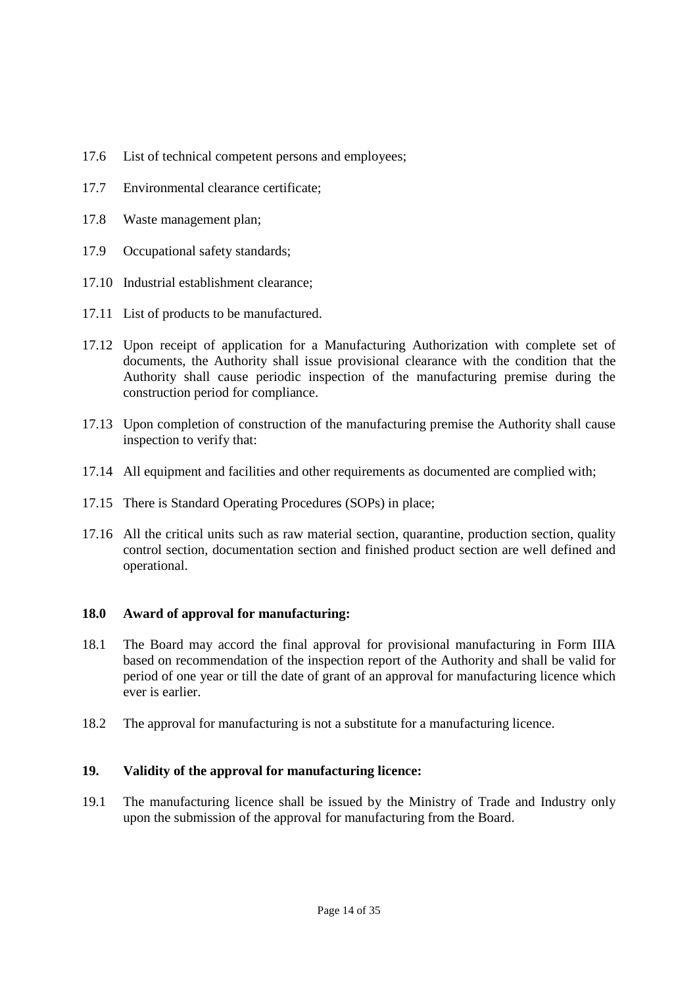- 17.6 List of technical competent persons and employees;
- 17.7 Environmental clearance certificate;
- 17.8 Waste management plan;
- 17.9 Occupational safety standards;
- 17.10 Industrial establishment clearance;
- 17.11 List of products to be manufactured.
- 17.12 Upon receipt of application for a Manufacturing Authorization with complete set of documents, the Authority shall issue provisional clearance with the condition that the Authority shall cause periodic inspection of the manufacturing premise during the construction period for compliance.
- 17.13 Upon completion of construction of the manufacturing premise the Authority shall cause inspection to verify that:
- 17.14 All equipment and facilities and other requirements as documented are complied with;
- 17.15 There is Standard Operating Procedures (SOPs) in place;
- 17.16 All the critical units such as raw material section, quarantine, production section, quality control section, documentation section and finished product section are well defined and operational.

## **18.0 Award of approval for manufacturing:**

- 18.1 The Board may accord the final approval for provisional manufacturing in Form IIIA based on recommendation of the inspection report of the Authority and shall be valid for period of one year or till the date of grant of an approval for manufacturing licence which ever is earlier.
- 18.2 The approval for manufacturing is not a substitute for a manufacturing licence.

## **19. Validity of the approval for manufacturing licence:**

19.1 The manufacturing licence shall be issued by the Ministry of Trade and Industry only upon the submission of the approval for manufacturing from the Board.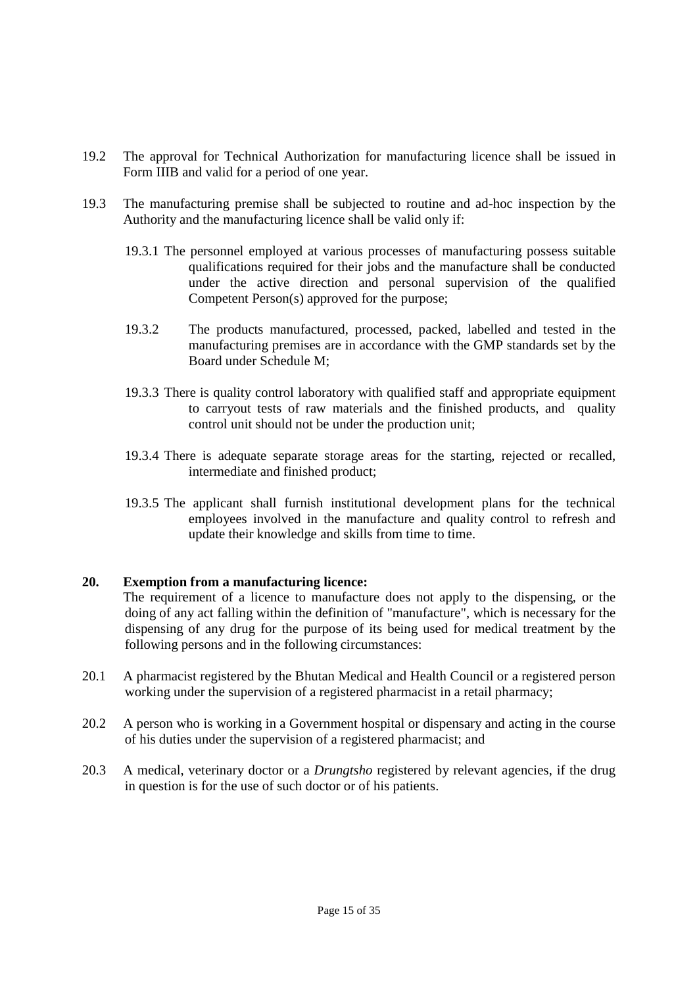- 19.2 The approval for Technical Authorization for manufacturing licence shall be issued in Form IIIB and valid for a period of one year.
- 19.3 The manufacturing premise shall be subjected to routine and ad-hoc inspection by the Authority and the manufacturing licence shall be valid only if:
	- 19.3.1 The personnel employed at various processes of manufacturing possess suitable qualifications required for their jobs and the manufacture shall be conducted under the active direction and personal supervision of the qualified Competent Person(s) approved for the purpose;
	- 19.3.2 The products manufactured, processed, packed, labelled and tested in the manufacturing premises are in accordance with the GMP standards set by the Board under Schedule M;
	- 19.3.3 There is quality control laboratory with qualified staff and appropriate equipment to carryout tests of raw materials and the finished products, and quality control unit should not be under the production unit;
	- 19.3.4 There is adequate separate storage areas for the starting, rejected or recalled, intermediate and finished product;
	- 19.3.5 The applicant shall furnish institutional development plans for the technical employees involved in the manufacture and quality control to refresh and update their knowledge and skills from time to time.

## **20. Exemption from a manufacturing licence:**

The requirement of a licence to manufacture does not apply to the dispensing, or the doing of any act falling within the definition of "manufacture", which is necessary for the dispensing of any drug for the purpose of its being used for medical treatment by the following persons and in the following circumstances:

- 20.1 A pharmacist registered by the Bhutan Medical and Health Council or a registered person working under the supervision of a registered pharmacist in a retail pharmacy;
- 20.2 A person who is working in a Government hospital or dispensary and acting in the course of his duties under the supervision of a registered pharmacist; and
- 20.3 A medical, veterinary doctor or a *Drungtsho* registered by relevant agencies, if the drug in question is for the use of such doctor or of his patients.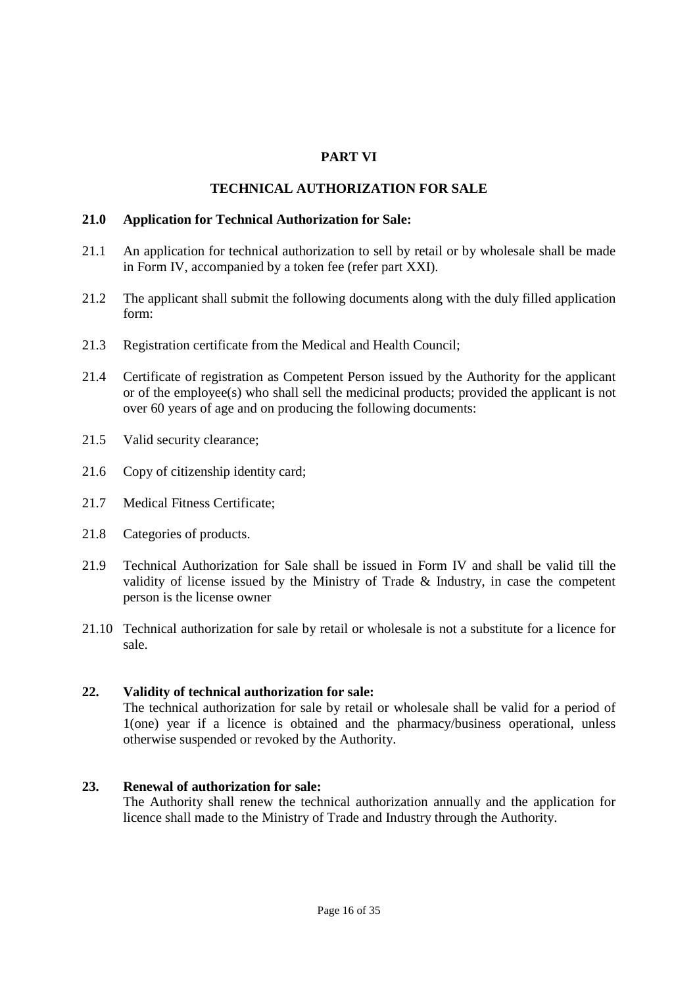# **PART VI**

# **TECHNICAL AUTHORIZATION FOR SALE**

## **21.0 Application for Technical Authorization for Sale:**

- 21.1 An application for technical authorization to sell by retail or by wholesale shall be made in Form IV, accompanied by a token fee (refer part XXI).
- 21.2 The applicant shall submit the following documents along with the duly filled application form:
- 21.3 Registration certificate from the Medical and Health Council;
- 21.4 Certificate of registration as Competent Person issued by the Authority for the applicant or of the employee(s) who shall sell the medicinal products; provided the applicant is not over 60 years of age and on producing the following documents:
- 21.5 Valid security clearance;
- 21.6 Copy of citizenship identity card;
- 21.7 Medical Fitness Certificate;
- 21.8 Categories of products.
- 21.9 Technical Authorization for Sale shall be issued in Form IV and shall be valid till the validity of license issued by the Ministry of Trade & Industry, in case the competent person is the license owner
- 21.10 Technical authorization for sale by retail or wholesale is not a substitute for a licence for sale.

## **22. Validity of technical authorization for sale:**

The technical authorization for sale by retail or wholesale shall be valid for a period of 1(one) year if a licence is obtained and the pharmacy/business operational, unless otherwise suspended or revoked by the Authority.

## **23. Renewal of authorization for sale:**

The Authority shall renew the technical authorization annually and the application for licence shall made to the Ministry of Trade and Industry through the Authority.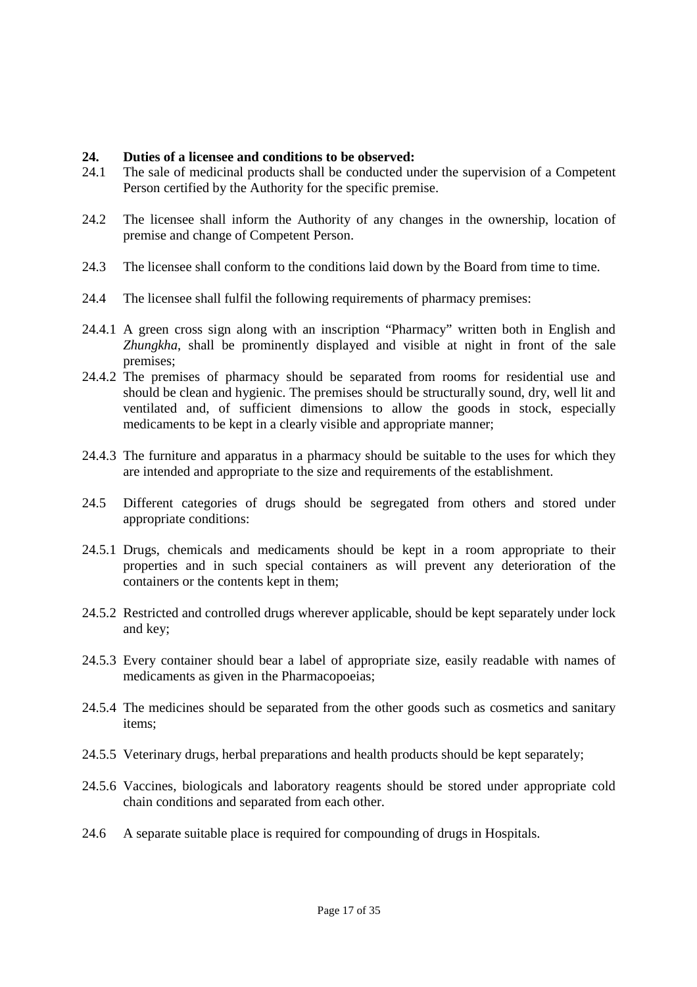## **24. Duties of a licensee and conditions to be observed:**

- 24.1 The sale of medicinal products shall be conducted under the supervision of a Competent Person certified by the Authority for the specific premise.
- 24.2 The licensee shall inform the Authority of any changes in the ownership, location of premise and change of Competent Person.
- 24.3 The licensee shall conform to the conditions laid down by the Board from time to time.
- 24.4 The licensee shall fulfil the following requirements of pharmacy premises:
- 24.4.1 A green cross sign along with an inscription "Pharmacy" written both in English and *Zhungkha*, shall be prominently displayed and visible at night in front of the sale premises;
- 24.4.2 The premises of pharmacy should be separated from rooms for residential use and should be clean and hygienic. The premises should be structurally sound, dry, well lit and ventilated and, of sufficient dimensions to allow the goods in stock, especially medicaments to be kept in a clearly visible and appropriate manner;
- 24.4.3 The furniture and apparatus in a pharmacy should be suitable to the uses for which they are intended and appropriate to the size and requirements of the establishment.
- 24.5 Different categories of drugs should be segregated from others and stored under appropriate conditions:
- 24.5.1 Drugs, chemicals and medicaments should be kept in a room appropriate to their properties and in such special containers as will prevent any deterioration of the containers or the contents kept in them;
- 24.5.2 Restricted and controlled drugs wherever applicable, should be kept separately under lock and key;
- 24.5.3 Every container should bear a label of appropriate size, easily readable with names of medicaments as given in the Pharmacopoeias;
- 24.5.4 The medicines should be separated from the other goods such as cosmetics and sanitary items;
- 24.5.5 Veterinary drugs, herbal preparations and health products should be kept separately;
- 24.5.6 Vaccines, biologicals and laboratory reagents should be stored under appropriate cold chain conditions and separated from each other.
- 24.6 A separate suitable place is required for compounding of drugs in Hospitals.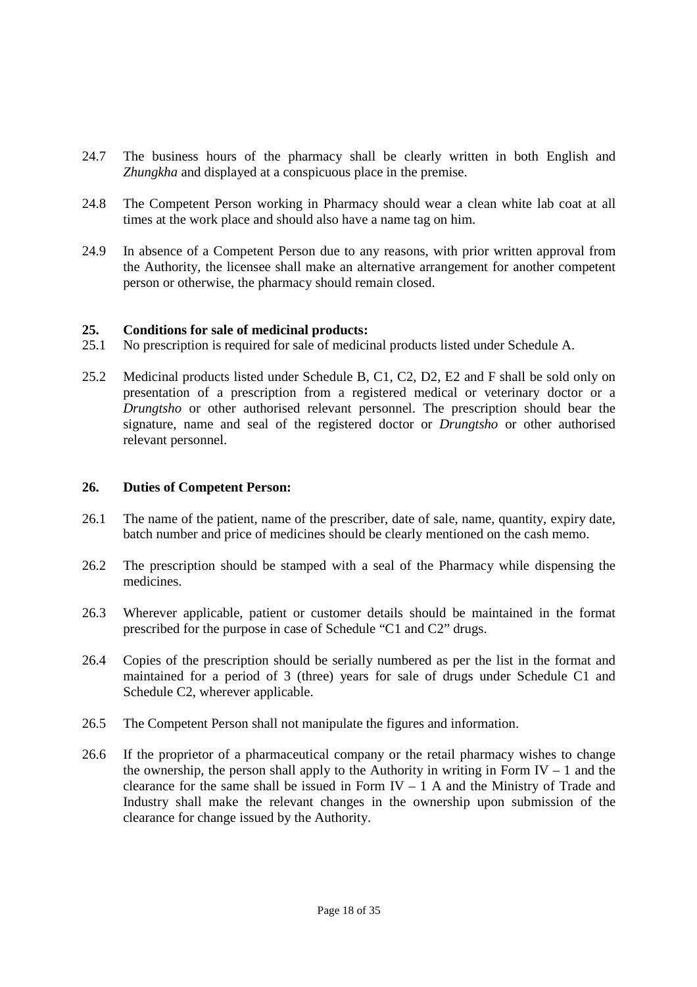- 24.7 The business hours of the pharmacy shall be clearly written in both English and *Zhungkha* and displayed at a conspicuous place in the premise.
- 24.8 The Competent Person working in Pharmacy should wear a clean white lab coat at all times at the work place and should also have a name tag on him.
- 24.9 In absence of a Competent Person due to any reasons, with prior written approval from the Authority, the licensee shall make an alternative arrangement for another competent person or otherwise, the pharmacy should remain closed.

## **25. Conditions for sale of medicinal products:**

- 25.1 No prescription is required for sale of medicinal products listed under Schedule A.
- 25.2 Medicinal products listed under Schedule B, C1, C2, D2, E2 and F shall be sold only on presentation of a prescription from a registered medical or veterinary doctor or a *Drungtsho* or other authorised relevant personnel. The prescription should bear the signature, name and seal of the registered doctor or *Drungtsho* or other authorised relevant personnel.

### **26. Duties of Competent Person:**

- 26.1 The name of the patient, name of the prescriber, date of sale, name, quantity, expiry date, batch number and price of medicines should be clearly mentioned on the cash memo.
- 26.2 The prescription should be stamped with a seal of the Pharmacy while dispensing the medicines.
- 26.3 Wherever applicable, patient or customer details should be maintained in the format prescribed for the purpose in case of Schedule "C1 and C2" drugs.
- 26.4 Copies of the prescription should be serially numbered as per the list in the format and maintained for a period of 3 (three) years for sale of drugs under Schedule C1 and Schedule C2, wherever applicable.
- 26.5 The Competent Person shall not manipulate the figures and information.
- 26.6 If the proprietor of a pharmaceutical company or the retail pharmacy wishes to change the ownership, the person shall apply to the Authority in writing in Form IV – 1 and the clearance for the same shall be issued in Form  $IV - 1$  A and the Ministry of Trade and Industry shall make the relevant changes in the ownership upon submission of the clearance for change issued by the Authority.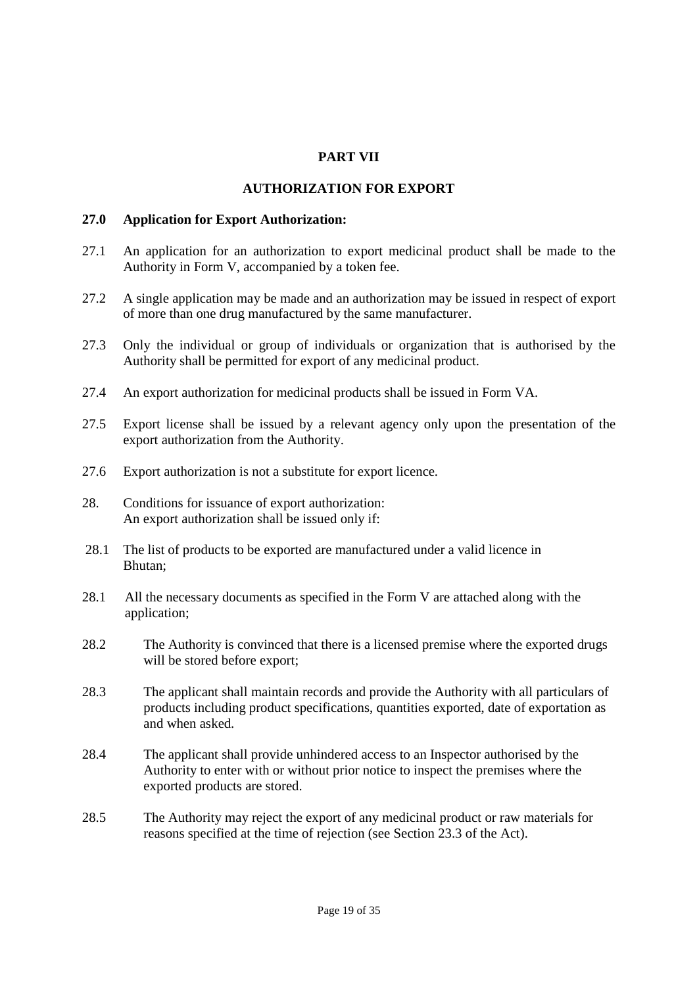# **PART VII**

# **AUTHORIZATION FOR EXPORT**

#### **27.0 Application for Export Authorization:**

- 27.1 An application for an authorization to export medicinal product shall be made to the Authority in Form V, accompanied by a token fee.
- 27.2 A single application may be made and an authorization may be issued in respect of export of more than one drug manufactured by the same manufacturer.
- 27.3 Only the individual or group of individuals or organization that is authorised by the Authority shall be permitted for export of any medicinal product.
- 27.4 An export authorization for medicinal products shall be issued in Form VA.
- 27.5 Export license shall be issued by a relevant agency only upon the presentation of the export authorization from the Authority.
- 27.6 Export authorization is not a substitute for export licence.
- 28. Conditions for issuance of export authorization: An export authorization shall be issued only if:
- 28.1 The list of products to be exported are manufactured under a valid licence in Bhutan;
- 28.1 All the necessary documents as specified in the Form V are attached along with the application;
- 28.2 The Authority is convinced that there is a licensed premise where the exported drugs will be stored before export;
- 28.3 The applicant shall maintain records and provide the Authority with all particulars of products including product specifications, quantities exported, date of exportation as and when asked.
- 28.4 The applicant shall provide unhindered access to an Inspector authorised by the Authority to enter with or without prior notice to inspect the premises where the exported products are stored.
- 28.5 The Authority may reject the export of any medicinal product or raw materials for reasons specified at the time of rejection (see Section 23.3 of the Act).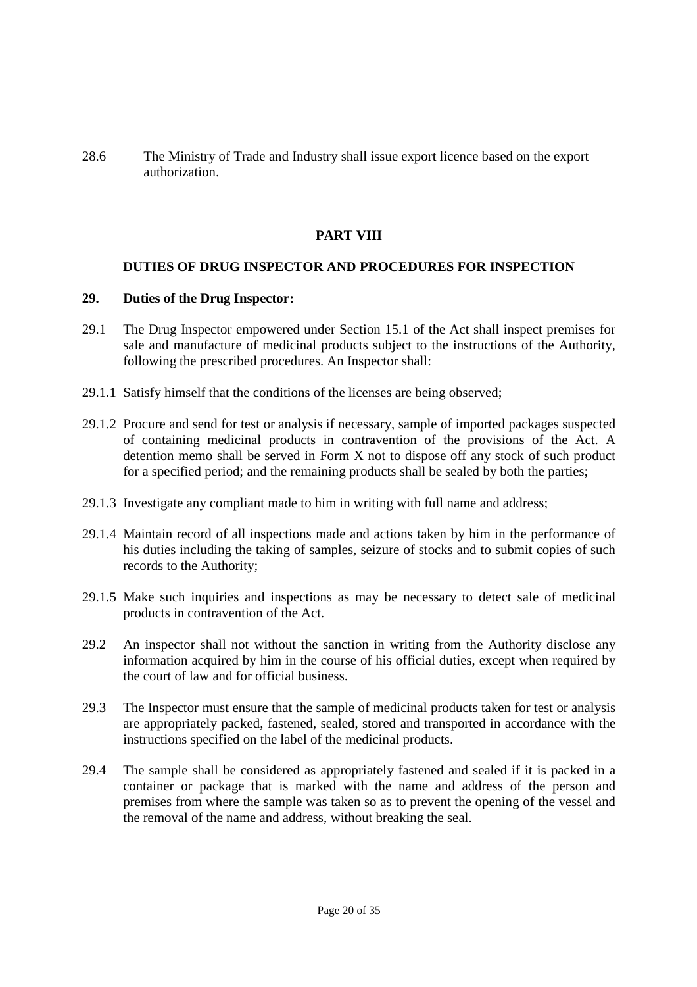28.6 The Ministry of Trade and Industry shall issue export licence based on the export authorization.

## **PART VIII**

## **DUTIES OF DRUG INSPECTOR AND PROCEDURES FOR INSPECTION**

### **29. Duties of the Drug Inspector:**

- 29.1 The Drug Inspector empowered under Section 15.1 of the Act shall inspect premises for sale and manufacture of medicinal products subject to the instructions of the Authority, following the prescribed procedures. An Inspector shall:
- 29.1.1 Satisfy himself that the conditions of the licenses are being observed;
- 29.1.2 Procure and send for test or analysis if necessary, sample of imported packages suspected of containing medicinal products in contravention of the provisions of the Act. A detention memo shall be served in Form X not to dispose off any stock of such product for a specified period; and the remaining products shall be sealed by both the parties;
- 29.1.3 Investigate any compliant made to him in writing with full name and address;
- 29.1.4 Maintain record of all inspections made and actions taken by him in the performance of his duties including the taking of samples, seizure of stocks and to submit copies of such records to the Authority;
- 29.1.5 Make such inquiries and inspections as may be necessary to detect sale of medicinal products in contravention of the Act.
- 29.2 An inspector shall not without the sanction in writing from the Authority disclose any information acquired by him in the course of his official duties, except when required by the court of law and for official business.
- 29.3 The Inspector must ensure that the sample of medicinal products taken for test or analysis are appropriately packed, fastened, sealed, stored and transported in accordance with the instructions specified on the label of the medicinal products.
- 29.4 The sample shall be considered as appropriately fastened and sealed if it is packed in a container or package that is marked with the name and address of the person and premises from where the sample was taken so as to prevent the opening of the vessel and the removal of the name and address, without breaking the seal.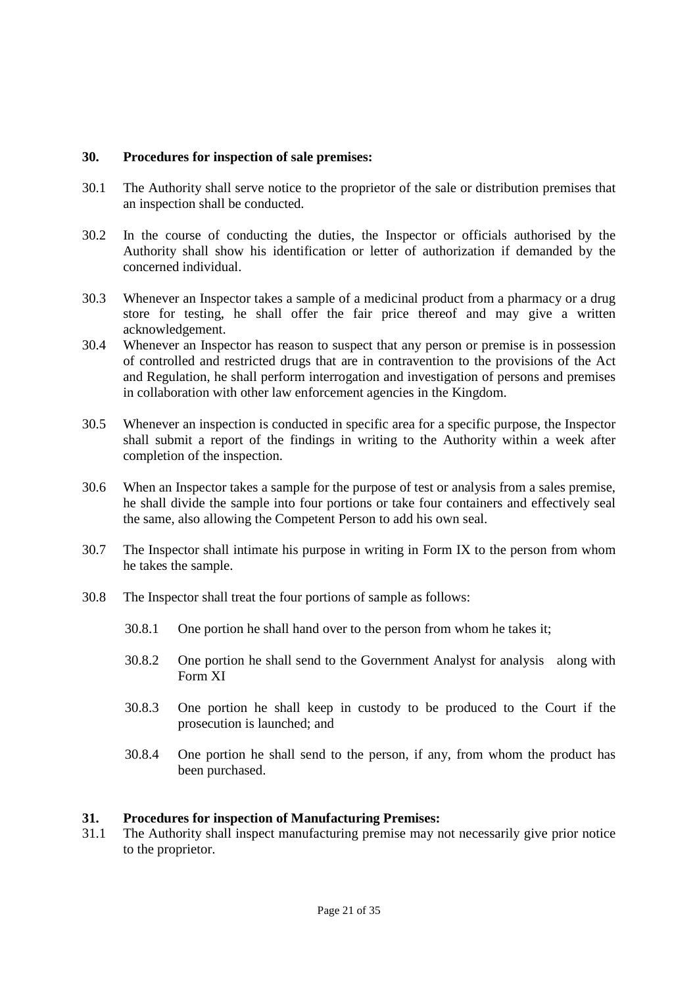## **30. Procedures for inspection of sale premises:**

- 30.1 The Authority shall serve notice to the proprietor of the sale or distribution premises that an inspection shall be conducted.
- 30.2 In the course of conducting the duties, the Inspector or officials authorised by the Authority shall show his identification or letter of authorization if demanded by the concerned individual.
- 30.3 Whenever an Inspector takes a sample of a medicinal product from a pharmacy or a drug store for testing, he shall offer the fair price thereof and may give a written acknowledgement.
- 30.4 Whenever an Inspector has reason to suspect that any person or premise is in possession of controlled and restricted drugs that are in contravention to the provisions of the Act and Regulation, he shall perform interrogation and investigation of persons and premises in collaboration with other law enforcement agencies in the Kingdom.
- 30.5 Whenever an inspection is conducted in specific area for a specific purpose, the Inspector shall submit a report of the findings in writing to the Authority within a week after completion of the inspection.
- 30.6 When an Inspector takes a sample for the purpose of test or analysis from a sales premise, he shall divide the sample into four portions or take four containers and effectively seal the same, also allowing the Competent Person to add his own seal.
- 30.7 The Inspector shall intimate his purpose in writing in Form IX to the person from whom he takes the sample.
- 30.8 The Inspector shall treat the four portions of sample as follows:
	- 30.8.1 One portion he shall hand over to the person from whom he takes it;
	- 30.8.2 One portion he shall send to the Government Analyst for analysis along with Form XI
	- 30.8.3 One portion he shall keep in custody to be produced to the Court if the prosecution is launched; and
	- 30.8.4 One portion he shall send to the person, if any, from whom the product has been purchased.

# **31. Procedures for inspection of Manufacturing Premises:**

31.1 The Authority shall inspect manufacturing premise may not necessarily give prior notice to the proprietor.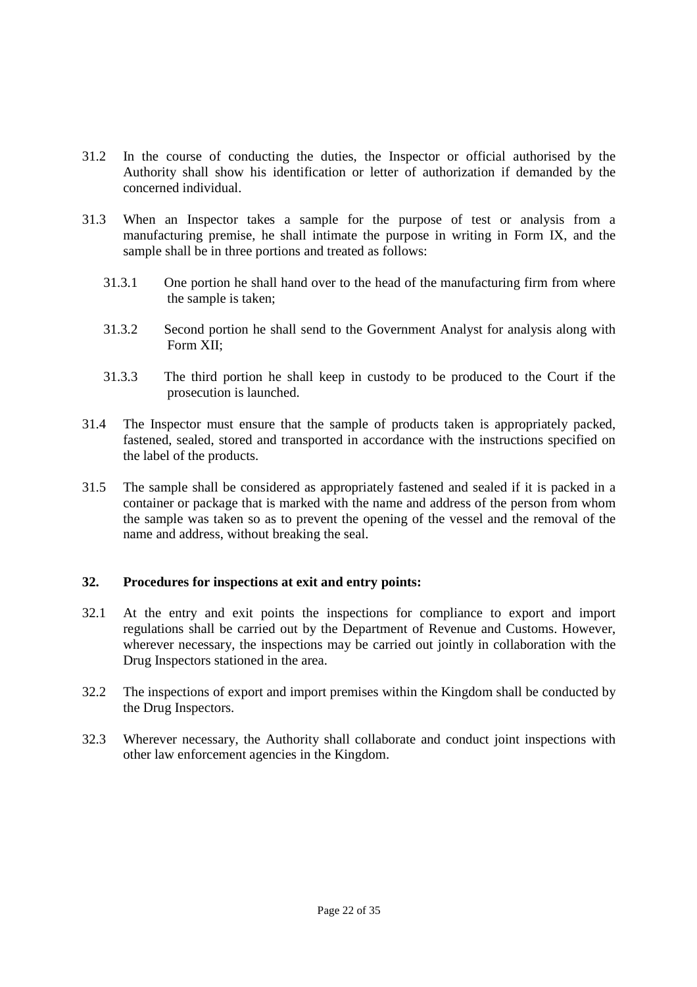- 31.2 In the course of conducting the duties, the Inspector or official authorised by the Authority shall show his identification or letter of authorization if demanded by the concerned individual.
- 31.3 When an Inspector takes a sample for the purpose of test or analysis from a manufacturing premise, he shall intimate the purpose in writing in Form IX, and the sample shall be in three portions and treated as follows:
	- 31.3.1 One portion he shall hand over to the head of the manufacturing firm from where the sample is taken;
	- 31.3.2 Second portion he shall send to the Government Analyst for analysis along with Form XII;
	- 31.3.3 The third portion he shall keep in custody to be produced to the Court if the prosecution is launched.
- 31.4 The Inspector must ensure that the sample of products taken is appropriately packed, fastened, sealed, stored and transported in accordance with the instructions specified on the label of the products.
- 31.5 The sample shall be considered as appropriately fastened and sealed if it is packed in a container or package that is marked with the name and address of the person from whom the sample was taken so as to prevent the opening of the vessel and the removal of the name and address, without breaking the seal.

## **32. Procedures for inspections at exit and entry points:**

- 32.1 At the entry and exit points the inspections for compliance to export and import regulations shall be carried out by the Department of Revenue and Customs. However, wherever necessary, the inspections may be carried out jointly in collaboration with the Drug Inspectors stationed in the area.
- 32.2 The inspections of export and import premises within the Kingdom shall be conducted by the Drug Inspectors.
- 32.3 Wherever necessary, the Authority shall collaborate and conduct joint inspections with other law enforcement agencies in the Kingdom.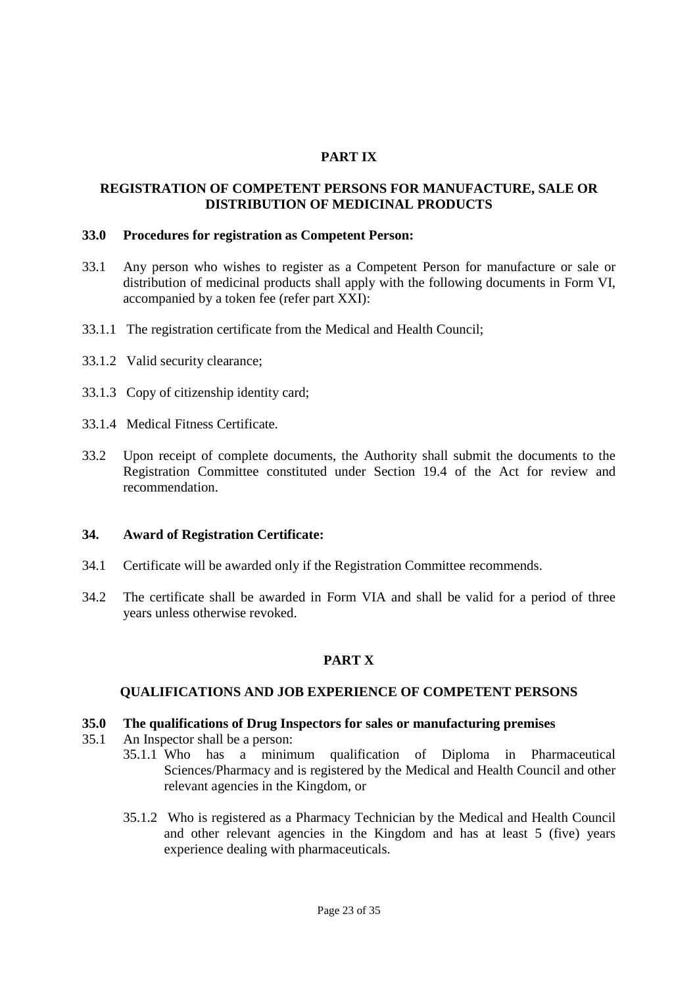# **PART IX**

## **REGISTRATION OF COMPETENT PERSONS FOR MANUFACTURE, SALE OR DISTRIBUTION OF MEDICINAL PRODUCTS**

#### **33.0 Procedures for registration as Competent Person:**

- 33.1 Any person who wishes to register as a Competent Person for manufacture or sale or distribution of medicinal products shall apply with the following documents in Form VI, accompanied by a token fee (refer part XXI):
- 33.1.1 The registration certificate from the Medical and Health Council;
- 33.1.2 Valid security clearance;
- 33.1.3 Copy of citizenship identity card;
- 33.1.4 Medical Fitness Certificate.
- 33.2 Upon receipt of complete documents, the Authority shall submit the documents to the Registration Committee constituted under Section 19.4 of the Act for review and recommendation.

#### **34. Award of Registration Certificate:**

- 34.1 Certificate will be awarded only if the Registration Committee recommends.
- 34.2 The certificate shall be awarded in Form VIA and shall be valid for a period of three years unless otherwise revoked.

# **PART X**

#### **QUALIFICATIONS AND JOB EXPERIENCE OF COMPETENT PERSONS**

#### **35.0 The qualifications of Drug Inspectors for sales or manufacturing premises**

- 35.1 An Inspector shall be a person:
	- 35.1.1 Who has a minimum qualification of Diploma in Pharmaceutical Sciences/Pharmacy and is registered by the Medical and Health Council and other relevant agencies in the Kingdom, or
	- 35.1.2 Who is registered as a Pharmacy Technician by the Medical and Health Council and other relevant agencies in the Kingdom and has at least 5 (five) years experience dealing with pharmaceuticals.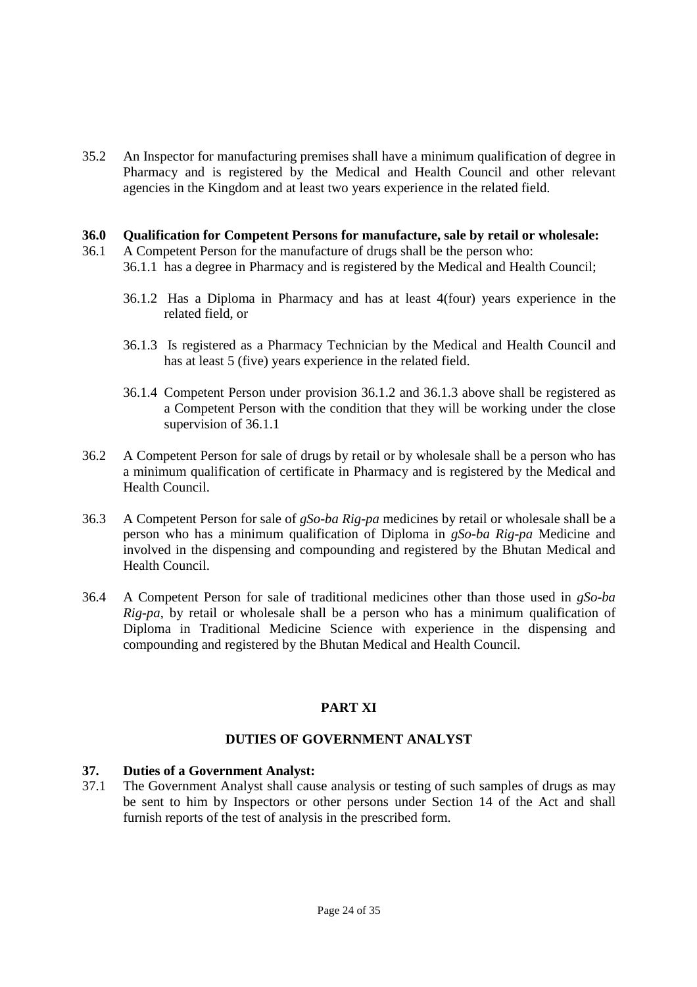35.2 An Inspector for manufacturing premises shall have a minimum qualification of degree in Pharmacy and is registered by the Medical and Health Council and other relevant agencies in the Kingdom and at least two years experience in the related field.

## **36.0 Qualification for Competent Persons for manufacture, sale by retail or wholesale:**

- 36.1 A Competent Person for the manufacture of drugs shall be the person who: 36.1.1 has a degree in Pharmacy and is registered by the Medical and Health Council;
	- 36.1.2 Has a Diploma in Pharmacy and has at least 4(four) years experience in the related field, or
	- 36.1.3 Is registered as a Pharmacy Technician by the Medical and Health Council and has at least 5 (five) years experience in the related field.
	- 36.1.4 Competent Person under provision 36.1.2 and 36.1.3 above shall be registered as a Competent Person with the condition that they will be working under the close supervision of 36.1.1
- 36.2 A Competent Person for sale of drugs by retail or by wholesale shall be a person who has a minimum qualification of certificate in Pharmacy and is registered by the Medical and Health Council.
- 36.3 A Competent Person for sale of *gSo-ba Rig-pa* medicines by retail or wholesale shall be a person who has a minimum qualification of Diploma in *gSo-ba Rig-pa* Medicine and involved in the dispensing and compounding and registered by the Bhutan Medical and Health Council.
- 36.4 A Competent Person for sale of traditional medicines other than those used in *gSo-ba Rig-pa*, by retail or wholesale shall be a person who has a minimum qualification of Diploma in Traditional Medicine Science with experience in the dispensing and compounding and registered by the Bhutan Medical and Health Council.

# **PART XI**

# **DUTIES OF GOVERNMENT ANALYST**

## **37. Duties of a Government Analyst:**

37.1 The Government Analyst shall cause analysis or testing of such samples of drugs as may be sent to him by Inspectors or other persons under Section 14 of the Act and shall furnish reports of the test of analysis in the prescribed form.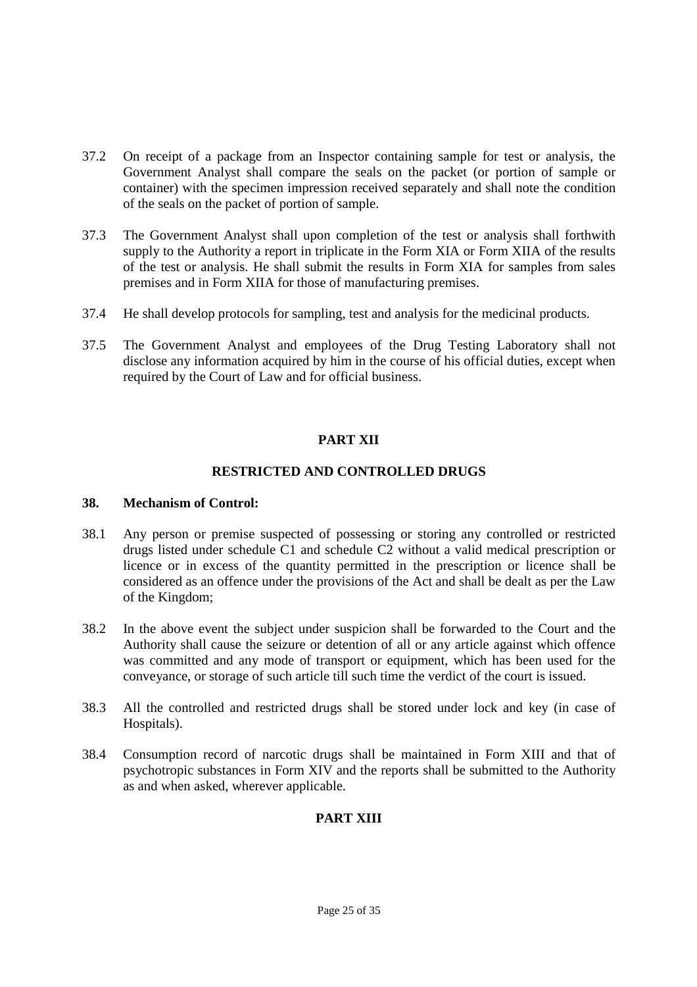- 37.2 On receipt of a package from an Inspector containing sample for test or analysis, the Government Analyst shall compare the seals on the packet (or portion of sample or container) with the specimen impression received separately and shall note the condition of the seals on the packet of portion of sample.
- 37.3 The Government Analyst shall upon completion of the test or analysis shall forthwith supply to the Authority a report in triplicate in the Form XIA or Form XIIA of the results of the test or analysis. He shall submit the results in Form XIA for samples from sales premises and in Form XIIA for those of manufacturing premises.
- 37.4 He shall develop protocols for sampling, test and analysis for the medicinal products.
- 37.5 The Government Analyst and employees of the Drug Testing Laboratory shall not disclose any information acquired by him in the course of his official duties, except when required by the Court of Law and for official business.

# **PART XII**

# **RESTRICTED AND CONTROLLED DRUGS**

## **38. Mechanism of Control:**

- 38.1 Any person or premise suspected of possessing or storing any controlled or restricted drugs listed under schedule C1 and schedule C2 without a valid medical prescription or licence or in excess of the quantity permitted in the prescription or licence shall be considered as an offence under the provisions of the Act and shall be dealt as per the Law of the Kingdom;
- 38.2 In the above event the subject under suspicion shall be forwarded to the Court and the Authority shall cause the seizure or detention of all or any article against which offence was committed and any mode of transport or equipment, which has been used for the conveyance, or storage of such article till such time the verdict of the court is issued.
- 38.3 All the controlled and restricted drugs shall be stored under lock and key (in case of Hospitals).
- 38.4 Consumption record of narcotic drugs shall be maintained in Form XIII and that of psychotropic substances in Form XIV and the reports shall be submitted to the Authority as and when asked, wherever applicable.

# **PART XIII**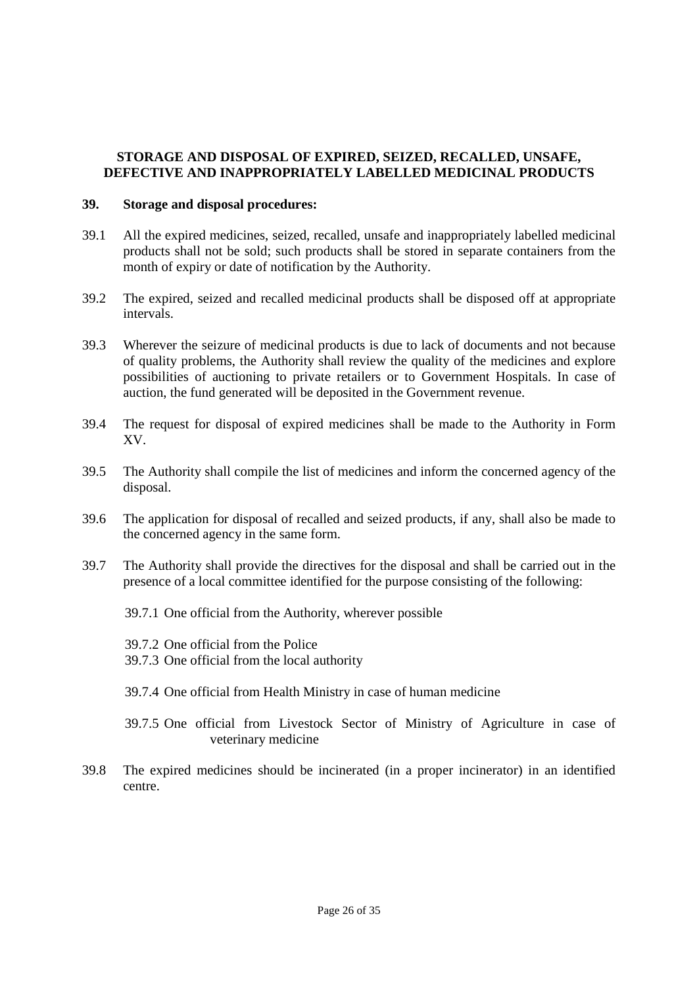# **STORAGE AND DISPOSAL OF EXPIRED, SEIZED, RECALLED, UNSAFE, DEFECTIVE AND INAPPROPRIATELY LABELLED MEDICINAL PRODUCTS**

## **39. Storage and disposal procedures:**

- 39.1 All the expired medicines, seized, recalled, unsafe and inappropriately labelled medicinal products shall not be sold; such products shall be stored in separate containers from the month of expiry or date of notification by the Authority.
- 39.2 The expired, seized and recalled medicinal products shall be disposed off at appropriate intervals.
- 39.3 Wherever the seizure of medicinal products is due to lack of documents and not because of quality problems, the Authority shall review the quality of the medicines and explore possibilities of auctioning to private retailers or to Government Hospitals. In case of auction, the fund generated will be deposited in the Government revenue.
- 39.4 The request for disposal of expired medicines shall be made to the Authority in Form XV.
- 39.5 The Authority shall compile the list of medicines and inform the concerned agency of the disposal.
- 39.6 The application for disposal of recalled and seized products, if any, shall also be made to the concerned agency in the same form.
- 39.7 The Authority shall provide the directives for the disposal and shall be carried out in the presence of a local committee identified for the purpose consisting of the following:
	- 39.7.1 One official from the Authority, wherever possible
	- 39.7.2 One official from the Police
	- 39.7.3 One official from the local authority
	- 39.7.4 One official from Health Ministry in case of human medicine
	- 39.7.5 One official from Livestock Sector of Ministry of Agriculture in case of veterinary medicine
- 39.8 The expired medicines should be incinerated (in a proper incinerator) in an identified centre.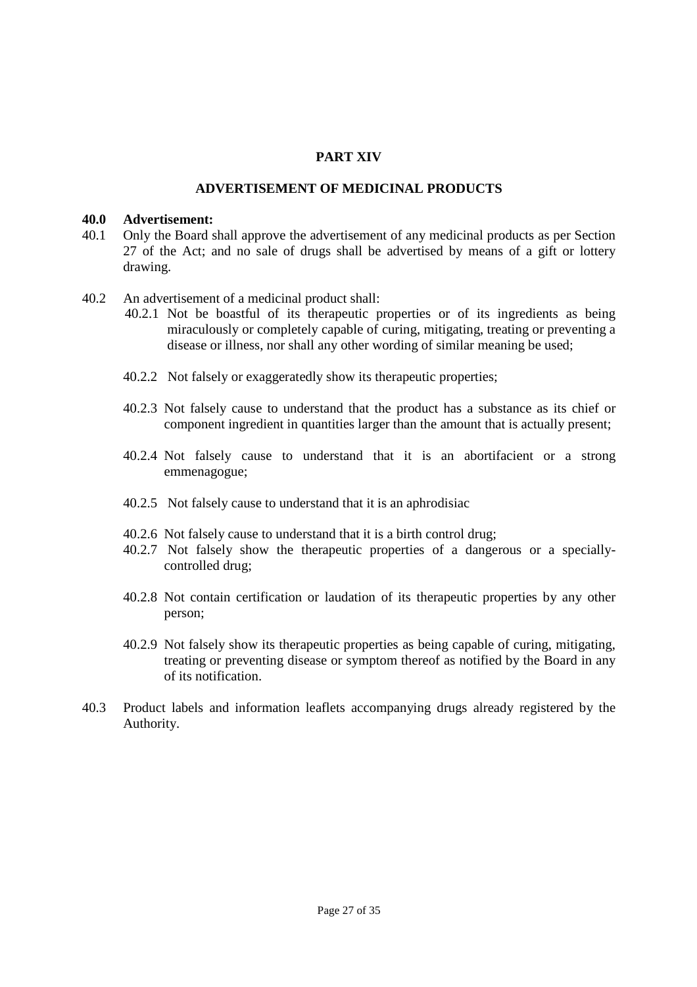## **PART XIV**

## **ADVERTISEMENT OF MEDICINAL PRODUCTS**

### **40.0 Advertisement:**

- 40.1 Only the Board shall approve the advertisement of any medicinal products as per Section 27 of the Act; and no sale of drugs shall be advertised by means of a gift or lottery drawing.
- 40.2 An advertisement of a medicinal product shall:
	- 40.2.1 Not be boastful of its therapeutic properties or of its ingredients as being miraculously or completely capable of curing, mitigating, treating or preventing a disease or illness, nor shall any other wording of similar meaning be used;
	- 40.2.2 Not falsely or exaggeratedly show its therapeutic properties;
	- 40.2.3 Not falsely cause to understand that the product has a substance as its chief or component ingredient in quantities larger than the amount that is actually present;
	- 40.2.4 Not falsely cause to understand that it is an abortifacient or a strong emmenagogue;
	- 40.2.5 Not falsely cause to understand that it is an aphrodisiac
	- 40.2.6 Not falsely cause to understand that it is a birth control drug;
	- 40.2.7 Not falsely show the therapeutic properties of a dangerous or a speciallycontrolled drug;
	- 40.2.8 Not contain certification or laudation of its therapeutic properties by any other person;
	- 40.2.9 Not falsely show its therapeutic properties as being capable of curing, mitigating, treating or preventing disease or symptom thereof as notified by the Board in any of its notification.
- 40.3 Product labels and information leaflets accompanying drugs already registered by the Authority.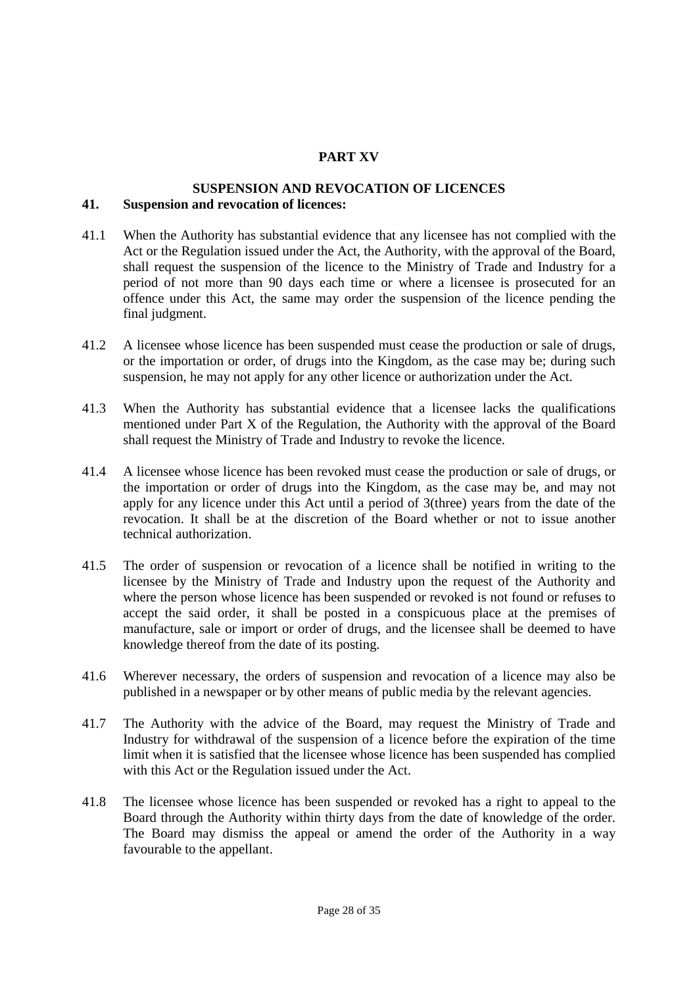# **PART XV**

#### **SUSPENSION AND REVOCATION OF LICENCES 41. Suspension and revocation of licences:**

- 41.1 When the Authority has substantial evidence that any licensee has not complied with the Act or the Regulation issued under the Act, the Authority, with the approval of the Board, shall request the suspension of the licence to the Ministry of Trade and Industry for a period of not more than 90 days each time or where a licensee is prosecuted for an offence under this Act, the same may order the suspension of the licence pending the final judgment.
- 41.2 A licensee whose licence has been suspended must cease the production or sale of drugs, or the importation or order, of drugs into the Kingdom, as the case may be; during such suspension, he may not apply for any other licence or authorization under the Act.
- 41.3 When the Authority has substantial evidence that a licensee lacks the qualifications mentioned under Part X of the Regulation, the Authority with the approval of the Board shall request the Ministry of Trade and Industry to revoke the licence.
- 41.4 A licensee whose licence has been revoked must cease the production or sale of drugs, or the importation or order of drugs into the Kingdom, as the case may be, and may not apply for any licence under this Act until a period of 3(three) years from the date of the revocation. It shall be at the discretion of the Board whether or not to issue another technical authorization.
- 41.5 The order of suspension or revocation of a licence shall be notified in writing to the licensee by the Ministry of Trade and Industry upon the request of the Authority and where the person whose licence has been suspended or revoked is not found or refuses to accept the said order, it shall be posted in a conspicuous place at the premises of manufacture, sale or import or order of drugs, and the licensee shall be deemed to have knowledge thereof from the date of its posting.
- 41.6 Wherever necessary, the orders of suspension and revocation of a licence may also be published in a newspaper or by other means of public media by the relevant agencies.
- 41.7 The Authority with the advice of the Board, may request the Ministry of Trade and Industry for withdrawal of the suspension of a licence before the expiration of the time limit when it is satisfied that the licensee whose licence has been suspended has complied with this Act or the Regulation issued under the Act.
- 41.8 The licensee whose licence has been suspended or revoked has a right to appeal to the Board through the Authority within thirty days from the date of knowledge of the order. The Board may dismiss the appeal or amend the order of the Authority in a way favourable to the appellant.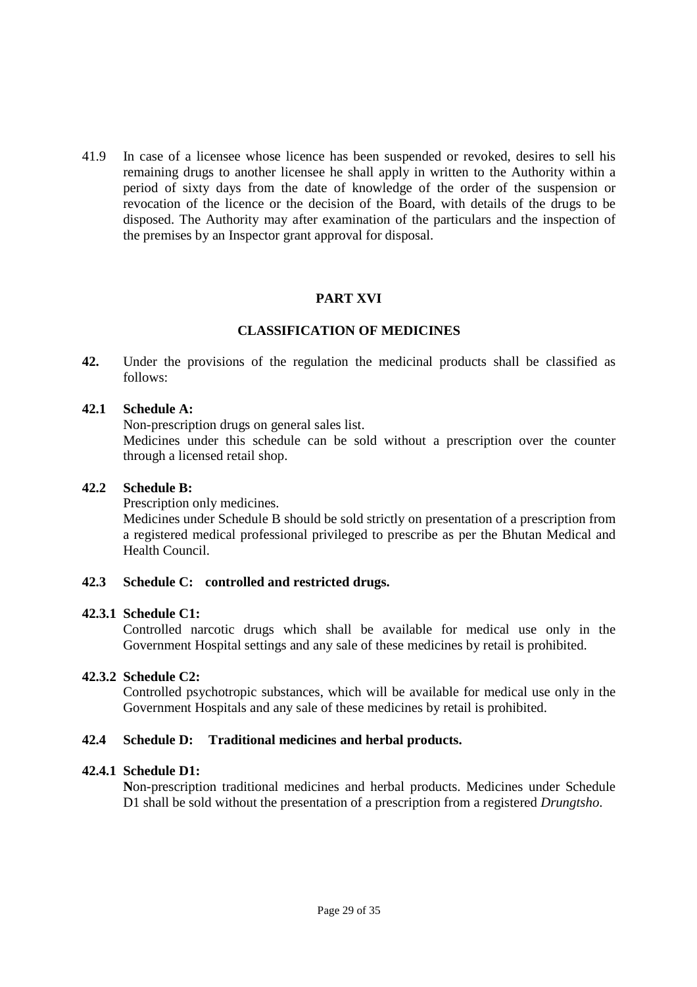41.9 In case of a licensee whose licence has been suspended or revoked, desires to sell his remaining drugs to another licensee he shall apply in written to the Authority within a period of sixty days from the date of knowledge of the order of the suspension or revocation of the licence or the decision of the Board, with details of the drugs to be disposed. The Authority may after examination of the particulars and the inspection of the premises by an Inspector grant approval for disposal.

# **PART XVI**

## **CLASSIFICATION OF MEDICINES**

**42.** Under the provisions of the regulation the medicinal products shall be classified as follows:

## **42.1 Schedule A:**

Non-prescription drugs on general sales list.

Medicines under this schedule can be sold without a prescription over the counter through a licensed retail shop.

#### **42.2 Schedule B:**

Prescription only medicines.

Medicines under Schedule B should be sold strictly on presentation of a prescription from a registered medical professional privileged to prescribe as per the Bhutan Medical and Health Council.

## **42.3 Schedule C: controlled and restricted drugs.**

#### **42.3.1 Schedule C1:**

Controlled narcotic drugs which shall be available for medical use only in the Government Hospital settings and any sale of these medicines by retail is prohibited.

## **42.3.2 Schedule C2:**

Controlled psychotropic substances, which will be available for medical use only in the Government Hospitals and any sale of these medicines by retail is prohibited.

## **42.4 Schedule D: Traditional medicines and herbal products.**

#### **42.4.1 Schedule D1:**

**N**on-prescription traditional medicines and herbal products. Medicines under Schedule D1 shall be sold without the presentation of a prescription from a registered *Drungtsho*.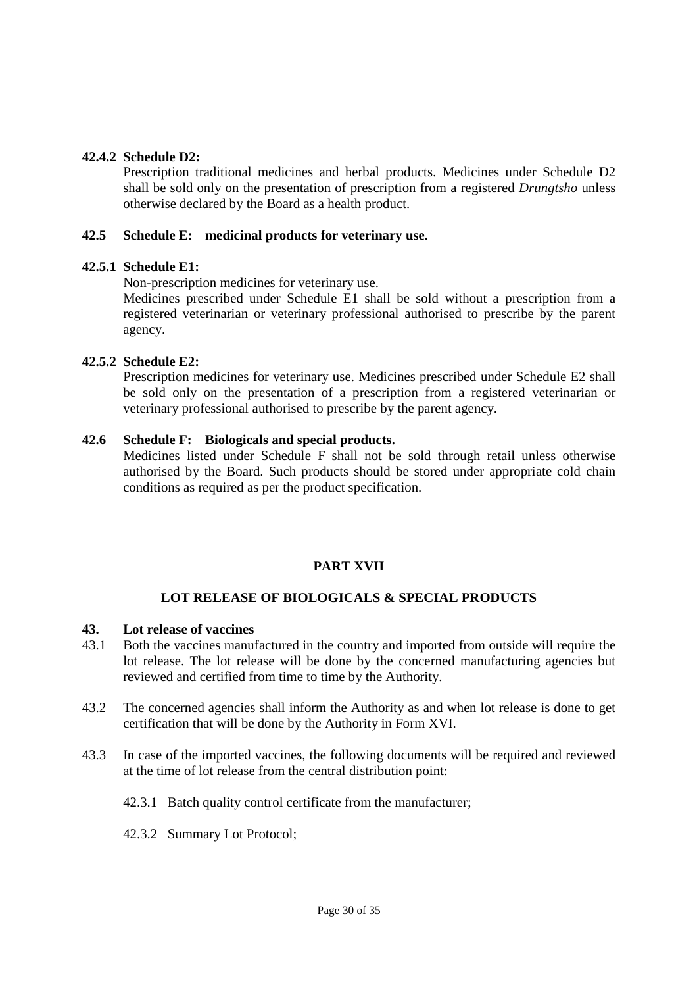## **42.4.2 Schedule D2:**

Prescription traditional medicines and herbal products. Medicines under Schedule D2 shall be sold only on the presentation of prescription from a registered *Drungtsho* unless otherwise declared by the Board as a health product.

## **42.5 Schedule E: medicinal products for veterinary use.**

## **42.5.1 Schedule E1:**

Non-prescription medicines for veterinary use.

Medicines prescribed under Schedule E1 shall be sold without a prescription from a registered veterinarian or veterinary professional authorised to prescribe by the parent agency.

# **42.5.2 Schedule E2:**

Prescription medicines for veterinary use. Medicines prescribed under Schedule E2 shall be sold only on the presentation of a prescription from a registered veterinarian or veterinary professional authorised to prescribe by the parent agency.

# **42.6 Schedule F: Biologicals and special products.**

Medicines listed under Schedule F shall not be sold through retail unless otherwise authorised by the Board. Such products should be stored under appropriate cold chain conditions as required as per the product specification.

# **PART XVII**

# **LOT RELEASE OF BIOLOGICALS & SPECIAL PRODUCTS**

## **43. Lot release of vaccines**

- 43.1 Both the vaccines manufactured in the country and imported from outside will require the lot release. The lot release will be done by the concerned manufacturing agencies but reviewed and certified from time to time by the Authority.
- 43.2 The concerned agencies shall inform the Authority as and when lot release is done to get certification that will be done by the Authority in Form XVI.
- 43.3 In case of the imported vaccines, the following documents will be required and reviewed at the time of lot release from the central distribution point:
	- 42.3.1 Batch quality control certificate from the manufacturer;
	- 42.3.2 Summary Lot Protocol;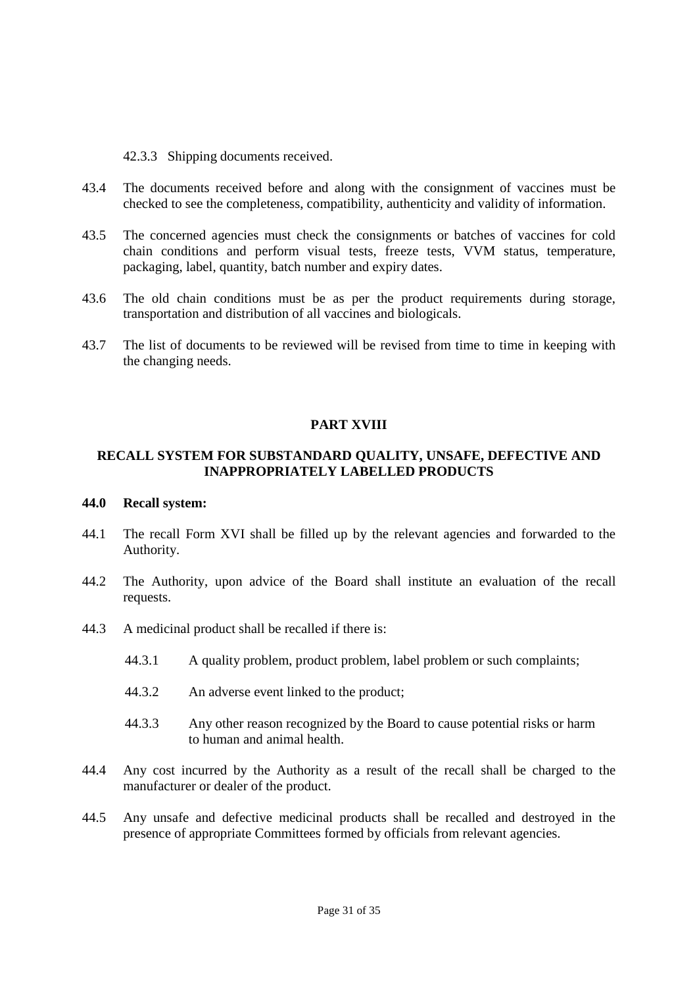42.3.3 Shipping documents received.

- 43.4 The documents received before and along with the consignment of vaccines must be checked to see the completeness, compatibility, authenticity and validity of information.
- 43.5 The concerned agencies must check the consignments or batches of vaccines for cold chain conditions and perform visual tests, freeze tests, VVM status, temperature, packaging, label, quantity, batch number and expiry dates.
- 43.6 The old chain conditions must be as per the product requirements during storage, transportation and distribution of all vaccines and biologicals.
- 43.7 The list of documents to be reviewed will be revised from time to time in keeping with the changing needs.

# **PART XVIII**

# **RECALL SYSTEM FOR SUBSTANDARD QUALITY, UNSAFE, DEFECTIVE AND INAPPROPRIATELY LABELLED PRODUCTS**

#### **44.0 Recall system:**

- 44.1 The recall Form XVI shall be filled up by the relevant agencies and forwarded to the Authority.
- 44.2 The Authority, upon advice of the Board shall institute an evaluation of the recall requests.
- 44.3 A medicinal product shall be recalled if there is:
	- 44.3.1 A quality problem, product problem, label problem or such complaints;
	- 44.3.2 An adverse event linked to the product;
	- 44.3.3 Any other reason recognized by the Board to cause potential risks or harm to human and animal health.
- 44.4 Any cost incurred by the Authority as a result of the recall shall be charged to the manufacturer or dealer of the product.
- 44.5 Any unsafe and defective medicinal products shall be recalled and destroyed in the presence of appropriate Committees formed by officials from relevant agencies.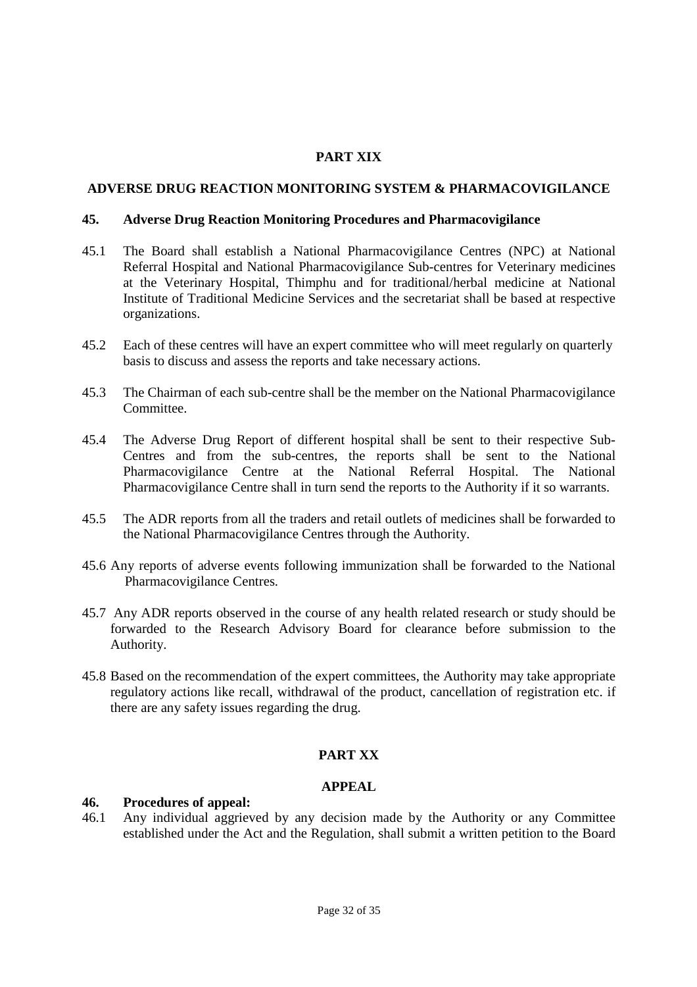# **PART XIX**

### **ADVERSE DRUG REACTION MONITORING SYSTEM & PHARMACOVIGILANCE**

#### **45. Adverse Drug Reaction Monitoring Procedures and Pharmacovigilance**

- 45.1 The Board shall establish a National Pharmacovigilance Centres (NPC) at National Referral Hospital and National Pharmacovigilance Sub-centres for Veterinary medicines at the Veterinary Hospital, Thimphu and for traditional/herbal medicine at National Institute of Traditional Medicine Services and the secretariat shall be based at respective organizations.
- 45.2 Each of these centres will have an expert committee who will meet regularly on quarterly basis to discuss and assess the reports and take necessary actions.
- 45.3 The Chairman of each sub-centre shall be the member on the National Pharmacovigilance Committee.
- 45.4 The Adverse Drug Report of different hospital shall be sent to their respective Sub-Centres and from the sub-centres, the reports shall be sent to the National Pharmacovigilance Centre at the National Referral Hospital. The National Pharmacovigilance Centre shall in turn send the reports to the Authority if it so warrants.
- 45.5 The ADR reports from all the traders and retail outlets of medicines shall be forwarded to the National Pharmacovigilance Centres through the Authority.
- 45.6 Any reports of adverse events following immunization shall be forwarded to the National Pharmacovigilance Centres.
- 45.7 Any ADR reports observed in the course of any health related research or study should be forwarded to the Research Advisory Board for clearance before submission to the Authority.
- 45.8 Based on the recommendation of the expert committees, the Authority may take appropriate regulatory actions like recall, withdrawal of the product, cancellation of registration etc. if there are any safety issues regarding the drug.

## **PART XX**

#### **APPEAL**

## **46. Procedures of appeal:**

46.1 Any individual aggrieved by any decision made by the Authority or any Committee established under the Act and the Regulation, shall submit a written petition to the Board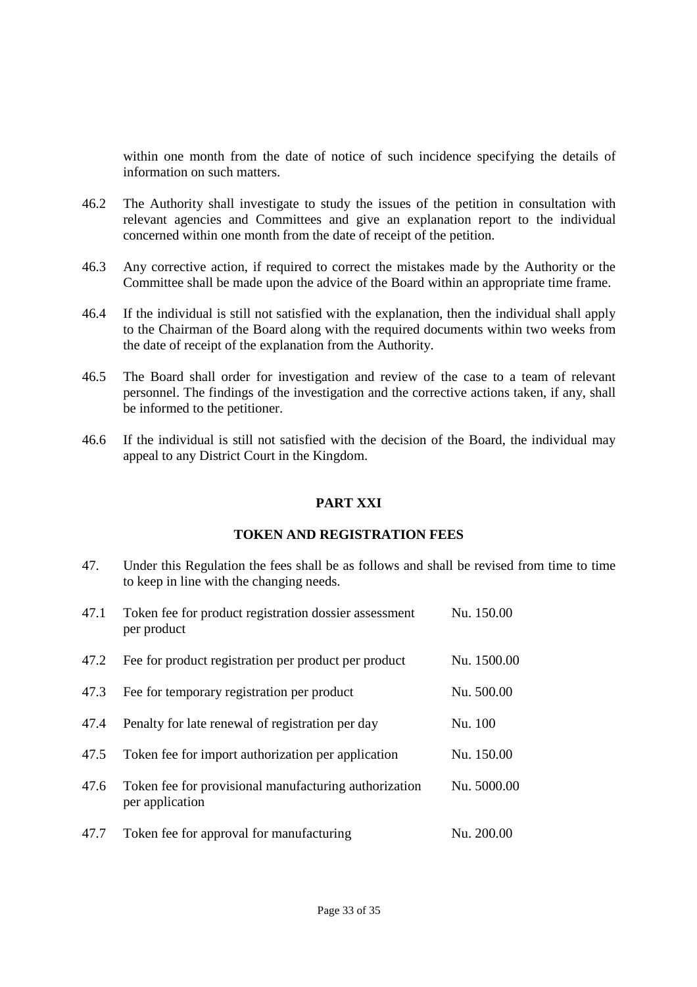within one month from the date of notice of such incidence specifying the details of information on such matters.

- 46.2 The Authority shall investigate to study the issues of the petition in consultation with relevant agencies and Committees and give an explanation report to the individual concerned within one month from the date of receipt of the petition.
- 46.3 Any corrective action, if required to correct the mistakes made by the Authority or the Committee shall be made upon the advice of the Board within an appropriate time frame.
- 46.4 If the individual is still not satisfied with the explanation, then the individual shall apply to the Chairman of the Board along with the required documents within two weeks from the date of receipt of the explanation from the Authority.
- 46.5 The Board shall order for investigation and review of the case to a team of relevant personnel. The findings of the investigation and the corrective actions taken, if any, shall be informed to the petitioner.
- 46.6 If the individual is still not satisfied with the decision of the Board, the individual may appeal to any District Court in the Kingdom.

#### **PART XXI**

### **TOKEN AND REGISTRATION FEES**

47. Under this Regulation the fees shall be as follows and shall be revised from time to time to keep in line with the changing needs.

| 47.1 | Token fee for product registration dossier assessment<br>per product     | Nu. 150.00  |
|------|--------------------------------------------------------------------------|-------------|
| 47.2 | Fee for product registration per product per product                     | Nu. 1500.00 |
| 47.3 | Fee for temporary registration per product                               | Nu. 500.00  |
| 47.4 | Penalty for late renewal of registration per day                         | Nu. 100     |
| 47.5 | Token fee for import authorization per application                       | Nu. 150.00  |
| 47.6 | Token fee for provisional manufacturing authorization<br>per application | Nu. 5000.00 |
| 47.7 | Token fee for approval for manufacturing                                 | Nu. 200.00  |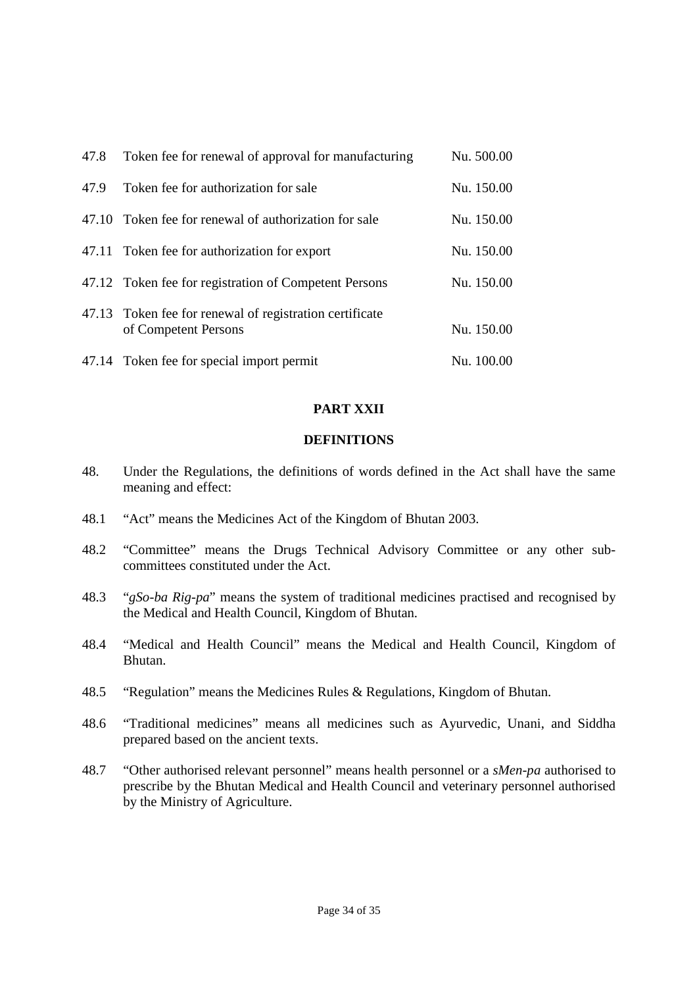| 47.8 | Token fee for renewal of approval for manufacturing                             | Nu. 500.00 |
|------|---------------------------------------------------------------------------------|------------|
| 47.9 | Token fee for authorization for sale                                            | Nu. 150.00 |
|      | 47.10 Token fee for renewal of authorization for sale                           | Nu. 150.00 |
|      | 47.11 Token fee for authorization for export                                    | Nu. 150.00 |
|      | 47.12 Token fee for registration of Competent Persons                           | Nu. 150.00 |
|      | 47.13 Token fee for renewal of registration certificate<br>of Competent Persons | Nu. 150.00 |
|      | 47.14 Token fee for special import permit                                       | Nu. 100.00 |

## **PART XXII**

# **DEFINITIONS**

- 48. Under the Regulations, the definitions of words defined in the Act shall have the same meaning and effect:
- 48.1 "Act" means the Medicines Act of the Kingdom of Bhutan 2003.
- 48.2 "Committee" means the Drugs Technical Advisory Committee or any other subcommittees constituted under the Act.
- 48.3 "*gSo-ba Rig-pa*" means the system of traditional medicines practised and recognised by the Medical and Health Council, Kingdom of Bhutan.
- 48.4 "Medical and Health Council" means the Medical and Health Council, Kingdom of Bhutan.
- 48.5 "Regulation" means the Medicines Rules & Regulations, Kingdom of Bhutan.
- 48.6 "Traditional medicines" means all medicines such as Ayurvedic, Unani, and Siddha prepared based on the ancient texts.
- 48.7 "Other authorised relevant personnel" means health personnel or a *sMen-pa* authorised to prescribe by the Bhutan Medical and Health Council and veterinary personnel authorised by the Ministry of Agriculture.